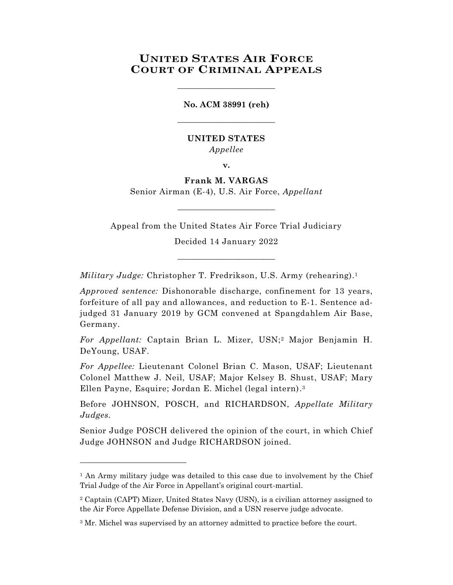# **UNITED STATES AIR FORCE COURT OF CRIMINAL APPEALS**

\_\_\_\_\_\_\_\_\_\_\_\_\_\_\_\_\_\_\_\_\_\_\_\_

**No. ACM 38991 (reh)** \_\_\_\_\_\_\_\_\_\_\_\_\_\_\_\_\_\_\_\_\_\_\_\_

### **UNITED STATES** *Appellee*

**v.**

# **Frank M. VARGAS**

Senior Airman (E-4), U.S. Air Force, *Appellant*  $\_$ 

Appeal from the United States Air Force Trial Judiciary

Decided 14 January 2022 \_\_\_\_\_\_\_\_\_\_\_\_\_\_\_\_\_\_\_\_\_\_\_\_

*Military Judge:* Christopher T. Fredrikson, U.S. Army (rehearing). 1

*Approved sentence:* Dishonorable discharge, confinement for 13 years, forfeiture of all pay and allowances, and reduction to E-1. Sentence adjudged 31 January 2019 by GCM convened at Spangdahlem Air Base, Germany.

*For Appellant:* Captain Brian L. Mizer, USN;<sup>2</sup> Major Benjamin H. DeYoung, USAF.

*For Appellee:* Lieutenant Colonel Brian C. Mason, USAF; Lieutenant Colonel Matthew J. Neil, USAF; Major Kelsey B. Shust, USAF; Mary Ellen Payne, Esquire; Jordan E. Michel (legal intern). 3

Before JOHNSON, POSCH, and RICHARDSON, *Appellate Military Judges.*

Senior Judge POSCH delivered the opinion of the court, in which Chief Judge JOHNSON and Judge RICHARDSON joined.

<sup>&</sup>lt;sup>1</sup> An Army military judge was detailed to this case due to involvement by the Chief Trial Judge of the Air Force in Appellant's original court-martial.

<sup>2</sup> Captain (CAPT) Mizer, United States Navy (USN), is a civilian attorney assigned to the Air Force Appellate Defense Division, and a USN reserve judge advocate.

<sup>&</sup>lt;sup>3</sup> Mr. Michel was supervised by an attorney admitted to practice before the court.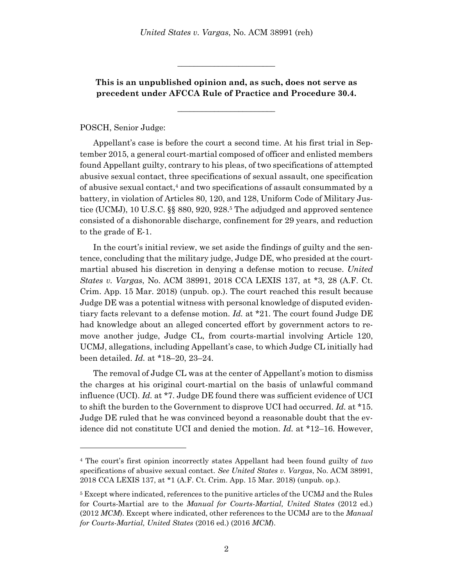**This is an unpublished opinion and, as such, does not serve as precedent under AFCCA Rule of Practice and Procedure 30.4.**

\_\_\_\_\_\_\_\_\_\_\_\_\_\_\_\_\_\_\_\_\_\_\_\_

\_\_\_\_\_\_\_\_\_\_\_\_\_\_\_\_\_\_\_\_\_\_\_\_

### POSCH, Senior Judge:

l

Appellant's case is before the court a second time. At his first trial in September 2015, a general court-martial composed of officer and enlisted members found Appellant guilty, contrary to his pleas, of two specifications of attempted abusive sexual contact, three specifications of sexual assault, one specification of abusive sexual contact,<sup>4</sup> and two specifications of assault consummated by a battery, in violation of Articles 80, 120, and 128, Uniform Code of Military Justice (UCMJ), 10 U.S.C. §§ 880, 920, 928.<sup>5</sup> The adjudged and approved sentence consisted of a dishonorable discharge, confinement for 29 years, and reduction to the grade of E-1.

In the court's initial review, we set aside the findings of guilty and the sentence, concluding that the military judge, Judge DE, who presided at the courtmartial abused his discretion in denying a defense motion to recuse. *United States v. Vargas*, No. ACM 38991, 2018 CCA LEXIS 137, at \*3, 28 (A.F. Ct. Crim. App. 15 Mar. 2018) (unpub. op.). The court reached this result because Judge DE was a potential witness with personal knowledge of disputed evidentiary facts relevant to a defense motion. *Id.* at \*21. The court found Judge DE had knowledge about an alleged concerted effort by government actors to remove another judge, Judge CL, from courts-martial involving Article 120, UCMJ, allegations, including Appellant's case, to which Judge CL initially had been detailed. *Id.* at \*18–20, 23–24.

The removal of Judge CL was at the center of Appellant's motion to dismiss the charges at his original court-martial on the basis of unlawful command influence (UCI). *Id.* at \*7. Judge DE found there was sufficient evidence of UCI to shift the burden to the Government to disprove UCI had occurred. *Id.* at \*15. Judge DE ruled that he was convinced beyond a reasonable doubt that the evidence did not constitute UCI and denied the motion. *Id.* at \*12–16. However,

<sup>4</sup> The court's first opinion incorrectly states Appellant had been found guilty of *two* specifications of abusive sexual contact. *See United States v. Vargas*, No. ACM 38991, 2018 CCA LEXIS 137, at \*1 (A.F. Ct. Crim. App. 15 Mar. 2018) (unpub. op.).

<sup>&</sup>lt;sup>5</sup> Except where indicated, references to the punitive articles of the UCMJ and the Rules for Courts-Martial are to the *Manual for Courts-Martial, United States* (2012 ed.) (2012 *MCM*). Except where indicated, other references to the UCMJ are to the *Manual for Courts-Martial, United States* (2016 ed.) (2016 *MCM*).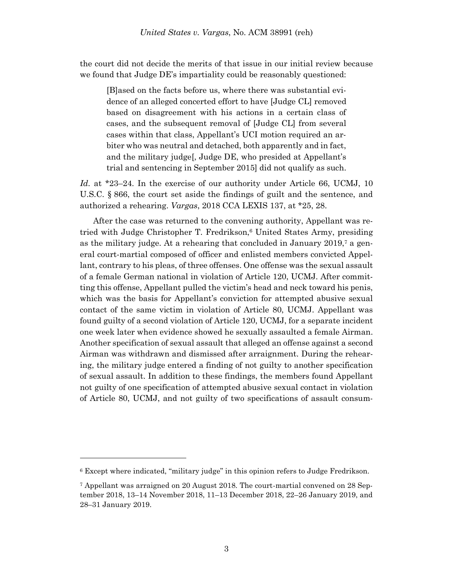the court did not decide the merits of that issue in our initial review because we found that Judge DE's impartiality could be reasonably questioned:

[B]ased on the facts before us, where there was substantial evidence of an alleged concerted effort to have [Judge CL] removed based on disagreement with his actions in a certain class of cases, and the subsequent removal of [Judge CL] from several cases within that class, Appellant's UCI motion required an arbiter who was neutral and detached, both apparently and in fact, and the military judge[, Judge DE, who presided at Appellant's trial and sentencing in September 2015] did not qualify as such.

*Id.* at \*23–24. In the exercise of our authority under Article 66, UCMJ, 10 U.S.C. § 866, the court set aside the findings of guilt and the sentence, and authorized a rehearing. *Vargas*, 2018 CCA LEXIS 137, at \*25, 28.

After the case was returned to the convening authority, Appellant was retried with Judge Christopher T. Fredrikson, <sup>6</sup> United States Army, presiding as the military judge. At a rehearing that concluded in January 2019,<sup>7</sup> a general court-martial composed of officer and enlisted members convicted Appellant, contrary to his pleas, of three offenses. One offense was the sexual assault of a female German national in violation of Article 120, UCMJ. After committing this offense, Appellant pulled the victim's head and neck toward his penis, which was the basis for Appellant's conviction for attempted abusive sexual contact of the same victim in violation of Article 80, UCMJ. Appellant was found guilty of a second violation of Article 120, UCMJ, for a separate incident one week later when evidence showed he sexually assaulted a female Airman. Another specification of sexual assault that alleged an offense against a second Airman was withdrawn and dismissed after arraignment. During the rehearing, the military judge entered a finding of not guilty to another specification of sexual assault. In addition to these findings, the members found Appellant not guilty of one specification of attempted abusive sexual contact in violation of Article 80, UCMJ, and not guilty of two specifications of assault consum-

<sup>6</sup> Except where indicated, "military judge" in this opinion refers to Judge Fredrikson.

<sup>7</sup> Appellant was arraigned on 20 August 2018. The court-martial convened on 28 September 2018, 13–14 November 2018, 11–13 December 2018, 22–26 January 2019, and 28–31 January 2019.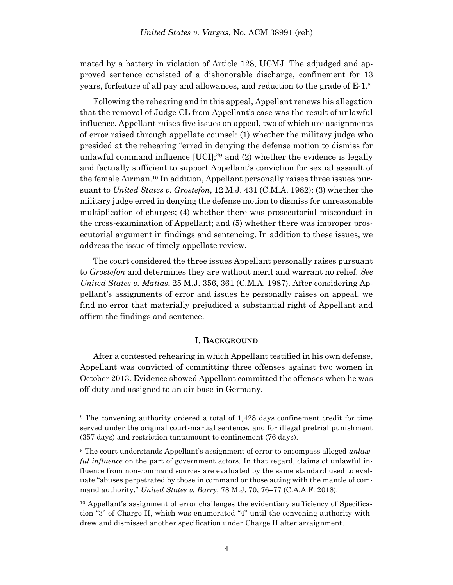mated by a battery in violation of Article 128, UCMJ. The adjudged and approved sentence consisted of a dishonorable discharge, confinement for 13 years, forfeiture of all pay and allowances, and reduction to the grade of E-1.<sup>8</sup>

Following the rehearing and in this appeal, Appellant renews his allegation that the removal of Judge CL from Appellant's case was the result of unlawful influence. Appellant raises five issues on appeal, two of which are assignments of error raised through appellate counsel: (1) whether the military judge who presided at the rehearing "erred in denying the defense motion to dismiss for unlawful command influence [UCI];" <sup>9</sup> and (2) whether the evidence is legally and factually sufficient to support Appellant's conviction for sexual assault of the female Airman. <sup>10</sup> In addition, Appellant personally raises three issues pursuant to *United States v. Grostefon*, 12 M.J. 431 (C.M.A. 1982): (3) whether the military judge erred in denying the defense motion to dismiss for unreasonable multiplication of charges; (4) whether there was prosecutorial misconduct in the cross-examination of Appellant; and (5) whether there was improper prosecutorial argument in findings and sentencing. In addition to these issues, we address the issue of timely appellate review.

The court considered the three issues Appellant personally raises pursuant to *Grostefon* and determines they are without merit and warrant no relief. *See United States v. Matias*, 25 M.J. 356, 361 (C.M.A. 1987). After considering Appellant's assignments of error and issues he personally raises on appeal, we find no error that materially prejudiced a substantial right of Appellant and affirm the findings and sentence.

#### **I. BACKGROUND**

After a contested rehearing in which Appellant testified in his own defense, Appellant was convicted of committing three offenses against two women in October 2013. Evidence showed Appellant committed the offenses when he was off duty and assigned to an air base in Germany.

<sup>8</sup> The convening authority ordered a total of 1,428 days confinement credit for time served under the original court-martial sentence, and for illegal pretrial punishment (357 days) and restriction tantamount to confinement (76 days).

<sup>9</sup> The court understands Appellant's assignment of error to encompass alleged *unlawful influence* on the part of government actors. In that regard, claims of unlawful influence from non-command sources are evaluated by the same standard used to evaluate "abuses perpetrated by those in command or those acting with the mantle of command authority." *United States v. Barry*, 78 M.J. 70, 76–77 (C.A.A.F. 2018).

<sup>&</sup>lt;sup>10</sup> Appellant's assignment of error challenges the evidentiary sufficiency of Specification "3" of Charge II, which was enumerated "4" until the convening authority withdrew and dismissed another specification under Charge II after arraignment.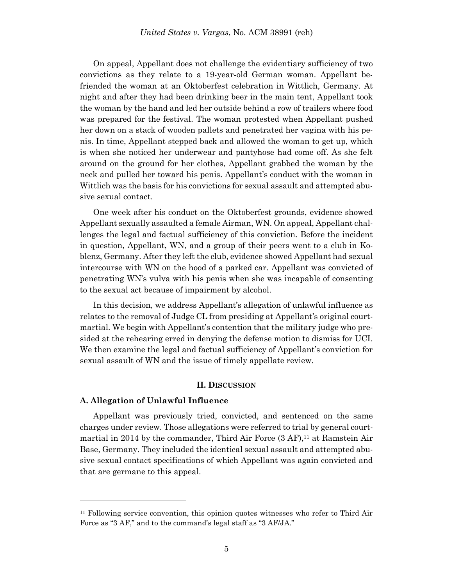On appeal, Appellant does not challenge the evidentiary sufficiency of two convictions as they relate to a 19-year-old German woman. Appellant befriended the woman at an Oktoberfest celebration in Wittlich, Germany. At night and after they had been drinking beer in the main tent, Appellant took the woman by the hand and led her outside behind a row of trailers where food was prepared for the festival. The woman protested when Appellant pushed her down on a stack of wooden pallets and penetrated her vagina with his penis. In time, Appellant stepped back and allowed the woman to get up, which is when she noticed her underwear and pantyhose had come off. As she felt around on the ground for her clothes, Appellant grabbed the woman by the neck and pulled her toward his penis. Appellant's conduct with the woman in Wittlich was the basis for his convictions for sexual assault and attempted abusive sexual contact.

One week after his conduct on the Oktoberfest grounds, evidence showed Appellant sexually assaulted a female Airman, WN. On appeal, Appellant challenges the legal and factual sufficiency of this conviction. Before the incident in question, Appellant, WN, and a group of their peers went to a club in Koblenz, Germany. After they left the club, evidence showed Appellant had sexual intercourse with WN on the hood of a parked car. Appellant was convicted of penetrating WN's vulva with his penis when she was incapable of consenting to the sexual act because of impairment by alcohol.

In this decision, we address Appellant's allegation of unlawful influence as relates to the removal of Judge CL from presiding at Appellant's original courtmartial. We begin with Appellant's contention that the military judge who presided at the rehearing erred in denying the defense motion to dismiss for UCI. We then examine the legal and factual sufficiency of Appellant's conviction for sexual assault of WN and the issue of timely appellate review.

#### **II. DISCUSSION**

#### **A. Allegation of Unlawful Influence**

l

Appellant was previously tried, convicted, and sentenced on the same charges under review. Those allegations were referred to trial by general courtmartial in 2014 by the commander, Third Air Force (3 AF), <sup>11</sup> at Ramstein Air Base, Germany. They included the identical sexual assault and attempted abusive sexual contact specifications of which Appellant was again convicted and that are germane to this appeal.

<sup>11</sup> Following service convention, this opinion quotes witnesses who refer to Third Air Force as "3 AF," and to the command's legal staff as "3 AF/JA."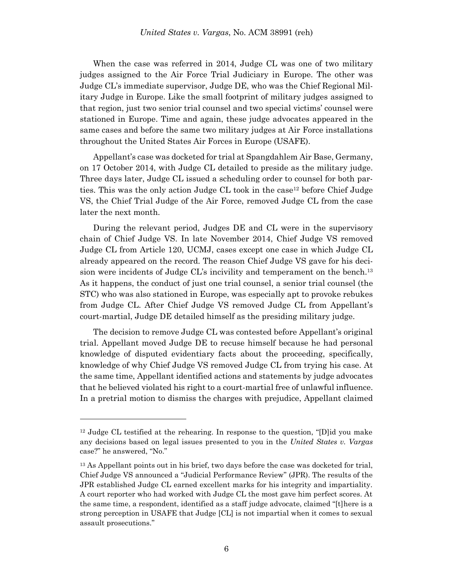When the case was referred in 2014, Judge CL was one of two military judges assigned to the Air Force Trial Judiciary in Europe. The other was Judge CL's immediate supervisor, Judge DE, who was the Chief Regional Military Judge in Europe. Like the small footprint of military judges assigned to that region, just two senior trial counsel and two special victims' counsel were stationed in Europe. Time and again, these judge advocates appeared in the same cases and before the same two military judges at Air Force installations throughout the United States Air Forces in Europe (USAFE).

Appellant's case was docketed for trial at Spangdahlem Air Base, Germany, on 17 October 2014, with Judge CL detailed to preside as the military judge. Three days later, Judge CL issued a scheduling order to counsel for both parties. This was the only action Judge CL took in the case<sup>12</sup> before Chief Judge VS, the Chief Trial Judge of the Air Force, removed Judge CL from the case later the next month.

During the relevant period, Judges DE and CL were in the supervisory chain of Chief Judge VS. In late November 2014, Chief Judge VS removed Judge CL from Article 120, UCMJ, cases except one case in which Judge CL already appeared on the record. The reason Chief Judge VS gave for his decision were incidents of Judge CL's incivility and temperament on the bench.<sup>13</sup> As it happens, the conduct of just one trial counsel, a senior trial counsel (the STC) who was also stationed in Europe, was especially apt to provoke rebukes from Judge CL. After Chief Judge VS removed Judge CL from Appellant's court-martial, Judge DE detailed himself as the presiding military judge.

The decision to remove Judge CL was contested before Appellant's original trial. Appellant moved Judge DE to recuse himself because he had personal knowledge of disputed evidentiary facts about the proceeding, specifically, knowledge of why Chief Judge VS removed Judge CL from trying his case. At the same time, Appellant identified actions and statements by judge advocates that he believed violated his right to a court-martial free of unlawful influence. In a pretrial motion to dismiss the charges with prejudice, Appellant claimed

 $12$  Judge CL testified at the rehearing. In response to the question, "[D]id you make any decisions based on legal issues presented to you in the *United States v. Vargas* case?" he answered, "No."

<sup>&</sup>lt;sup>13</sup> As Appellant points out in his brief, two days before the case was docketed for trial, Chief Judge VS announced a "Judicial Performance Review" (JPR). The results of the JPR established Judge CL earned excellent marks for his integrity and impartiality. A court reporter who had worked with Judge CL the most gave him perfect scores. At the same time, a respondent, identified as a staff judge advocate, claimed "[t]here is a strong perception in USAFE that Judge [CL] is not impartial when it comes to sexual assault prosecutions."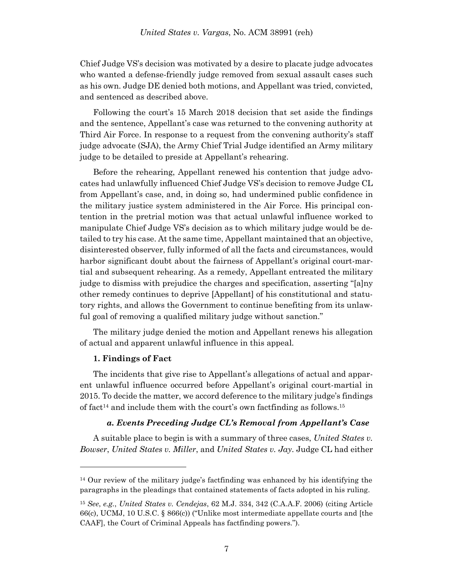Chief Judge VS's decision was motivated by a desire to placate judge advocates who wanted a defense-friendly judge removed from sexual assault cases such as his own. Judge DE denied both motions, and Appellant was tried, convicted, and sentenced as described above.

Following the court's 15 March 2018 decision that set aside the findings and the sentence, Appellant's case was returned to the convening authority at Third Air Force. In response to a request from the convening authority's staff judge advocate (SJA), the Army Chief Trial Judge identified an Army military judge to be detailed to preside at Appellant's rehearing.

Before the rehearing, Appellant renewed his contention that judge advocates had unlawfully influenced Chief Judge VS's decision to remove Judge CL from Appellant's case, and, in doing so, had undermined public confidence in the military justice system administered in the Air Force. His principal contention in the pretrial motion was that actual unlawful influence worked to manipulate Chief Judge VS's decision as to which military judge would be detailed to try his case. At the same time, Appellant maintained that an objective, disinterested observer, fully informed of all the facts and circumstances, would harbor significant doubt about the fairness of Appellant's original court-martial and subsequent rehearing. As a remedy, Appellant entreated the military judge to dismiss with prejudice the charges and specification, asserting "[a]ny other remedy continues to deprive [Appellant] of his constitutional and statutory rights, and allows the Government to continue benefiting from its unlawful goal of removing a qualified military judge without sanction."

The military judge denied the motion and Appellant renews his allegation of actual and apparent unlawful influence in this appeal.

### **1. Findings of Fact**

l

The incidents that give rise to Appellant's allegations of actual and apparent unlawful influence occurred before Appellant's original court-martial in 2015. To decide the matter, we accord deference to the military judge's findings of fact<sup>14</sup> and include them with the court's own factfinding as follows.<sup>15</sup>

#### *a. Events Preceding Judge CL's Removal from Appellant's Case*

A suitable place to begin is with a summary of three cases, *United States v. Bowser*, *United States v. Miller*, and *United States v. Jay*. Judge CL had either

<sup>14</sup> Our review of the military judge's factfinding was enhanced by his identifying the paragraphs in the pleadings that contained statements of facts adopted in his ruling.

<sup>15</sup> *See*, *e.g.*, *United States v. Cendejas*, 62 M.J. 334, 342 (C.A.A.F. 2006) (citing Article 66(c), UCMJ, 10 U.S.C. § 866(c)) ("Unlike most intermediate appellate courts and [the CAAF], the Court of Criminal Appeals has factfinding powers.").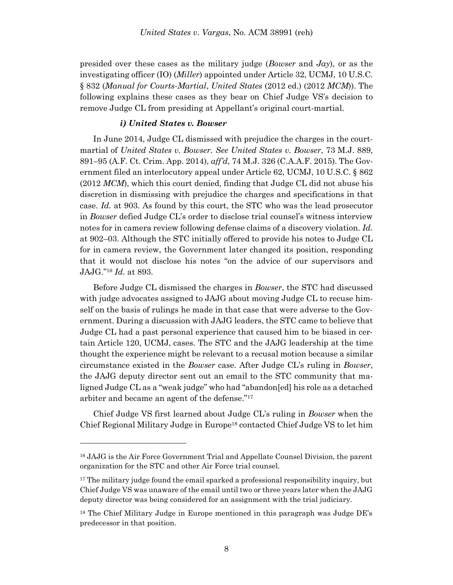presided over these cases as the military judge (*Bowser* and *Jay*), or as the investigating officer (IO) (*Miller*) appointed under Article 32, UCMJ, 10 U.S.C. § 832 (*Manual for Courts-Martial*, *United States* (2012 ed.) (2012 *MCM*)). The following explains these cases as they bear on Chief Judge VS's decision to remove Judge CL from presiding at Appellant's original court-martial.

#### *i) United States v. Bowser*

In June 2014, Judge CL dismissed with prejudice the charges in the courtmartial of *United States v. Bowser. See United States v. Bowser*, 73 M.J. 889, 891–95 (A.F. Ct. Crim. App. 2014), *aff'd*, 74 M.J. 326 (C.A.A.F. 2015). The Government filed an interlocutory appeal under Article 62, UCMJ, 10 U.S.C. § 862 (2012 *MCM*), which this court denied, finding that Judge CL did not abuse his discretion in dismissing with prejudice the charges and specifications in that case. *Id.* at 903. As found by this court, the STC who was the lead prosecutor in *Bowser* defied Judge CL's order to disclose trial counsel's witness interview notes for in camera review following defense claims of a discovery violation. *Id.* at 902–03. Although the STC initially offered to provide his notes to Judge CL for in camera review, the Government later changed its position, responding that it would not disclose his notes "on the advice of our supervisors and JAJG."<sup>16</sup> *Id.* at 893.

Before Judge CL dismissed the charges in *Bowser*, the STC had discussed with judge advocates assigned to JAJG about moving Judge CL to recuse himself on the basis of rulings he made in that case that were adverse to the Government. During a discussion with JAJG leaders, the STC came to believe that Judge CL had a past personal experience that caused him to be biased in certain Article 120, UCMJ, cases. The STC and the JAJG leadership at the time thought the experience might be relevant to a recusal motion because a similar circumstance existed in the *Bowser* case. After Judge CL's ruling in *Bowser*, the JAJG deputy director sent out an email to the STC community that maligned Judge CL as a "weak judge" who had "abandon[ed] his role as a detached arbiter and became an agent of the defense."<sup>17</sup>

Chief Judge VS first learned about Judge CL's ruling in *Bowser* when the Chief Regional Military Judge in Europe<sup>18</sup> contacted Chief Judge VS to let him

<sup>16</sup> JAJG is the Air Force Government Trial and Appellate Counsel Division, the parent organization for the STC and other Air Force trial counsel.

 $17$  The military judge found the email sparked a professional responsibility inquiry, but Chief Judge VS was unaware of the email until two or three years later when the JAJG deputy director was being considered for an assignment with the trial judiciary.

<sup>&</sup>lt;sup>18</sup> The Chief Military Judge in Europe mentioned in this paragraph was Judge  $DE$ 's predecessor in that position.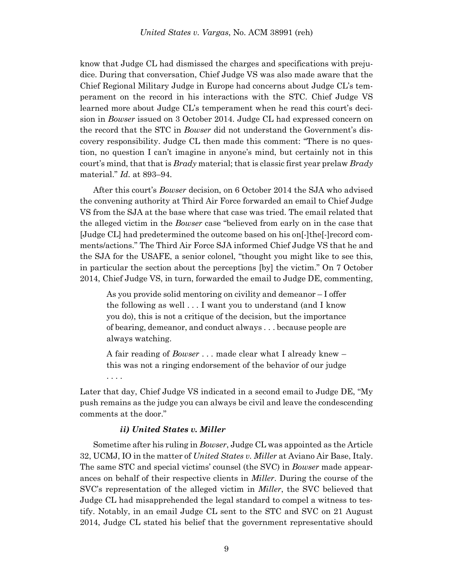know that Judge CL had dismissed the charges and specifications with prejudice. During that conversation, Chief Judge VS was also made aware that the Chief Regional Military Judge in Europe had concerns about Judge CL's temperament on the record in his interactions with the STC. Chief Judge VS learned more about Judge CL's temperament when he read this court's decision in *Bowser* issued on 3 October 2014. Judge CL had expressed concern on the record that the STC in *Bowser* did not understand the Government's discovery responsibility. Judge CL then made this comment: "There is no question, no question I can't imagine in anyone's mind, but certainly not in this court's mind, that that is *Brady* material; that is classic first year prelaw *Brady* material." *Id.* at 893–94.

After this court's *Bowser* decision, on 6 October 2014 the SJA who advised the convening authority at Third Air Force forwarded an email to Chief Judge VS from the SJA at the base where that case was tried. The email related that the alleged victim in the *Bowser* case "believed from early on in the case that [Judge CL] had predetermined the outcome based on his on[-]the[-]record comments/actions." The Third Air Force SJA informed Chief Judge VS that he and the SJA for the USAFE, a senior colonel, "thought you might like to see this, in particular the section about the perceptions [by] the victim." On 7 October 2014, Chief Judge VS, in turn, forwarded the email to Judge DE, commenting,

As you provide solid mentoring on civility and demeanor – I offer the following as well . . . I want you to understand (and I know you do), this is not a critique of the decision, but the importance of bearing, demeanor, and conduct always . . . because people are always watching.

A fair reading of *Bowser* . . . made clear what I already knew – this was not a ringing endorsement of the behavior of our judge . . . .

Later that day, Chief Judge VS indicated in a second email to Judge DE, "My push remains as the judge you can always be civil and leave the condescending comments at the door."

### *ii) United States v. Miller*

Sometime after his ruling in *Bowser*, Judge CL was appointed as the Article 32, UCMJ, IO in the matter of *United States v. Miller* at Aviano Air Base, Italy. The same STC and special victims' counsel (the SVC) in *Bowser* made appearances on behalf of their respective clients in *Miller*. During the course of the SVC's representation of the alleged victim in *Miller*, the SVC believed that Judge CL had misapprehended the legal standard to compel a witness to testify. Notably, in an email Judge CL sent to the STC and SVC on 21 August 2014, Judge CL stated his belief that the government representative should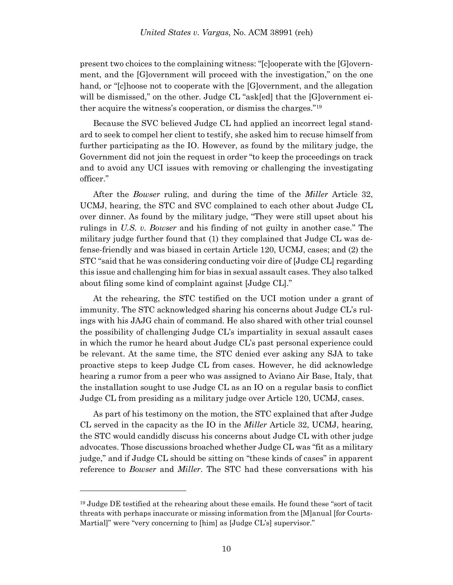present two choices to the complaining witness: "[c]ooperate with the [G]overnment, and the [G]overnment will proceed with the investigation," on the one hand, or "[c]hoose not to cooperate with the [G]overnment, and the allegation will be dismissed," on the other. Judge CL "ask[ed] that the [G]overnment either acquire the witness's cooperation, or dismiss the charges."<sup>19</sup>

Because the SVC believed Judge CL had applied an incorrect legal standard to seek to compel her client to testify, she asked him to recuse himself from further participating as the IO. However, as found by the military judge, the Government did not join the request in order "to keep the proceedings on track and to avoid any UCI issues with removing or challenging the investigating officer."

After the *Bowser* ruling, and during the time of the *Miller* Article 32, UCMJ, hearing, the STC and SVC complained to each other about Judge CL over dinner. As found by the military judge, "They were still upset about his rulings in *U.S. v. Bowser* and his finding of not guilty in another case." The military judge further found that (1) they complained that Judge CL was defense-friendly and was biased in certain Article 120, UCMJ, cases; and (2) the STC "said that he was considering conducting voir dire of [Judge CL] regarding this issue and challenging him for bias in sexual assault cases. They also talked about filing some kind of complaint against [Judge CL]."

At the rehearing, the STC testified on the UCI motion under a grant of immunity. The STC acknowledged sharing his concerns about Judge CL's rulings with his JAJG chain of command. He also shared with other trial counsel the possibility of challenging Judge CL's impartiality in sexual assault cases in which the rumor he heard about Judge CL's past personal experience could be relevant. At the same time, the STC denied ever asking any SJA to take proactive steps to keep Judge CL from cases. However, he did acknowledge hearing a rumor from a peer who was assigned to Aviano Air Base, Italy, that the installation sought to use Judge CL as an IO on a regular basis to conflict Judge CL from presiding as a military judge over Article 120, UCMJ, cases.

As part of his testimony on the motion, the STC explained that after Judge CL served in the capacity as the IO in the *Miller* Article 32, UCMJ, hearing, the STC would candidly discuss his concerns about Judge CL with other judge advocates. Those discussions broached whether Judge CL was "fit as a military judge," and if Judge CL should be sitting on "these kinds of cases" in apparent reference to *Bowser* and *Miller*. The STC had these conversations with his

<sup>&</sup>lt;sup>19</sup> Judge DE testified at the rehearing about these emails. He found these "sort of tacit threats with perhaps inaccurate or missing information from the [M]anual [for Courts-Martial]" were "very concerning to [him] as [Judge CL's] supervisor."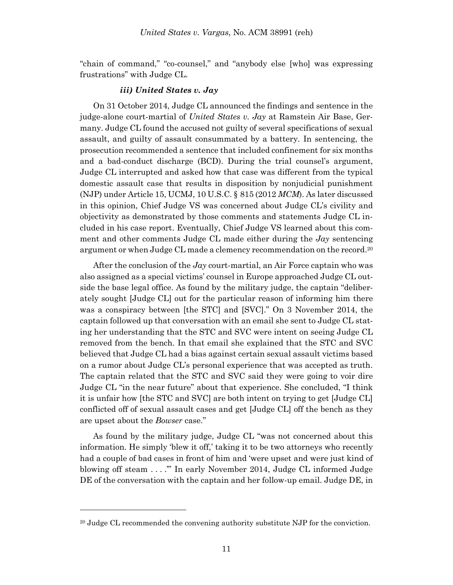"chain of command," "co-counsel," and "anybody else [who] was expressing frustrations" with Judge CL.

### *iii) United States v. Jay*

On 31 October 2014, Judge CL announced the findings and sentence in the judge-alone court-martial of *United States v. Jay* at Ramstein Air Base, Germany. Judge CL found the accused not guilty of several specifications of sexual assault, and guilty of assault consummated by a battery. In sentencing, the prosecution recommended a sentence that included confinement for six months and a bad-conduct discharge (BCD). During the trial counsel's argument, Judge CL interrupted and asked how that case was different from the typical domestic assault case that results in disposition by nonjudicial punishment (NJP) under Article 15, UCMJ, 10 U.S.C. § 815 (2012 *MCM*). As later discussed in this opinion, Chief Judge VS was concerned about Judge CL's civility and objectivity as demonstrated by those comments and statements Judge CL included in his case report. Eventually, Chief Judge VS learned about this comment and other comments Judge CL made either during the *Jay* sentencing argument or when Judge CL made a clemency recommendation on the record. 20

After the conclusion of the *Jay* court-martial, an Air Force captain who was also assigned as a special victims' counsel in Europe approached Judge CL outside the base legal office. As found by the military judge, the captain "deliberately sought [Judge CL] out for the particular reason of informing him there was a conspiracy between [the STC] and [SVC]." On 3 November 2014, the captain followed up that conversation with an email she sent to Judge CL stating her understanding that the STC and SVC were intent on seeing Judge CL removed from the bench. In that email she explained that the STC and SVC believed that Judge CL had a bias against certain sexual assault victims based on a rumor about Judge CL's personal experience that was accepted as truth. The captain related that the STC and SVC said they were going to voir dire Judge CL "in the near future" about that experience. She concluded, "I think it is unfair how [the STC and SVC] are both intent on trying to get [Judge CL] conflicted off of sexual assault cases and get [Judge CL] off the bench as they are upset about the *Bowser* case."

As found by the military judge, Judge CL "was not concerned about this information. He simply 'blew it off,' taking it to be two attorneys who recently had a couple of bad cases in front of him and 'were upset and were just kind of blowing off steam . . . .'" In early November 2014, Judge CL informed Judge DE of the conversation with the captain and her follow-up email. Judge DE, in

<sup>&</sup>lt;sup>20</sup> Judge CL recommended the convening authority substitute NJP for the conviction.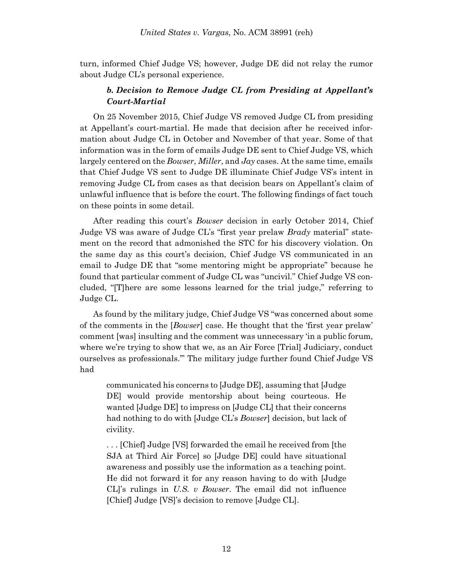turn, informed Chief Judge VS; however, Judge DE did not relay the rumor about Judge CL's personal experience.

## *b. Decision to Remove Judge CL from Presiding at Appellant's Court-Martial*

On 25 November 2015, Chief Judge VS removed Judge CL from presiding at Appellant's court-martial. He made that decision after he received information about Judge CL in October and November of that year. Some of that information was in the form of emails Judge DE sent to Chief Judge VS, which largely centered on the *Bowser*, *Miller*, and *Jay* cases. At the same time, emails that Chief Judge VS sent to Judge DE illuminate Chief Judge VS's intent in removing Judge CL from cases as that decision bears on Appellant's claim of unlawful influence that is before the court. The following findings of fact touch on these points in some detail.

After reading this court's *Bowser* decision in early October 2014, Chief Judge VS was aware of Judge CL's "first year prelaw *Brady* material" statement on the record that admonished the STC for his discovery violation. On the same day as this court's decision, Chief Judge VS communicated in an email to Judge DE that "some mentoring might be appropriate" because he found that particular comment of Judge CL was "uncivil." Chief Judge VS concluded, "[T]here are some lessons learned for the trial judge," referring to Judge CL.

As found by the military judge, Chief Judge VS "was concerned about some of the comments in the [*Bowser*] case. He thought that the 'first year prelaw' comment [was] insulting and the comment was unnecessary 'in a public forum, where we're trying to show that we, as an Air Force [Trial] Judiciary, conduct ourselves as professionals.'" The military judge further found Chief Judge VS had

communicated his concerns to [Judge DE], assuming that [Judge DE] would provide mentorship about being courteous. He wanted [Judge DE] to impress on [Judge CL] that their concerns had nothing to do with [Judge CL's *Bowser*] decision, but lack of civility.

. . . [Chief] Judge [VS] forwarded the email he received from [the SJA at Third Air Force] so [Judge DE] could have situational awareness and possibly use the information as a teaching point. He did not forward it for any reason having to do with [Judge CL]'s rulings in *U.S. v Bowser*. The email did not influence [Chief] Judge [VS]'s decision to remove [Judge CL].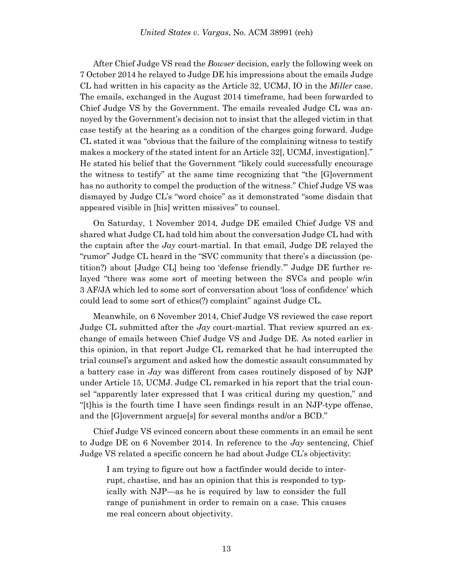After Chief Judge VS read the *Bowser* decision, early the following week on 7 October 2014 he relayed to Judge DE his impressions about the emails Judge CL had written in his capacity as the Article 32, UCMJ, IO in the *Miller* case. The emails, exchanged in the August 2014 timeframe, had been forwarded to Chief Judge VS by the Government. The emails revealed Judge CL was annoyed by the Government's decision not to insist that the alleged victim in that case testify at the hearing as a condition of the charges going forward. Judge CL stated it was "obvious that the failure of the complaining witness to testify makes a mockery of the stated intent for an Article 32[, UCMJ, investigation]." He stated his belief that the Government "likely could successfully encourage the witness to testify" at the same time recognizing that "the [G]overnment has no authority to compel the production of the witness." Chief Judge VS was dismayed by Judge CL's "word choice" as it demonstrated "some disdain that appeared visible in [his] written missives" to counsel.

On Saturday, 1 November 2014, Judge DE emailed Chief Judge VS and shared what Judge CL had told him about the conversation Judge CL had with the captain after the *Jay* court-martial. In that email, Judge DE relayed the "rumor" Judge CL heard in the "SVC community that there's a discussion (petition?) about [Judge CL] being too 'defense friendly.'" Judge DE further relayed "there was some sort of meeting between the SVCs and people w/in 3 AF/JA which led to some sort of conversation about 'loss of confidence' which could lead to some sort of ethics(?) complaint" against Judge CL.

Meanwhile, on 6 November 2014, Chief Judge VS reviewed the case report Judge CL submitted after the *Jay* court-martial. That review spurred an exchange of emails between Chief Judge VS and Judge DE. As noted earlier in this opinion, in that report Judge CL remarked that he had interrupted the trial counsel's argument and asked how the domestic assault consummated by a battery case in *Jay* was different from cases routinely disposed of by NJP under Article 15, UCMJ. Judge CL remarked in his report that the trial counsel "apparently later expressed that I was critical during my question," and "[t]his is the fourth time I have seen findings result in an NJP-type offense, and the [G]overnment argue[s] for several months and/or a BCD."

Chief Judge VS evinced concern about these comments in an email he sent to Judge DE on 6 November 2014. In reference to the *Jay* sentencing, Chief Judge VS related a specific concern he had about Judge CL's objectivity:

I am trying to figure out how a factfinder would decide to interrupt, chastise, and has an opinion that this is responded to typically with NJP—as he is required by law to consider the full range of punishment in order to remain on a case. This causes me real concern about objectivity.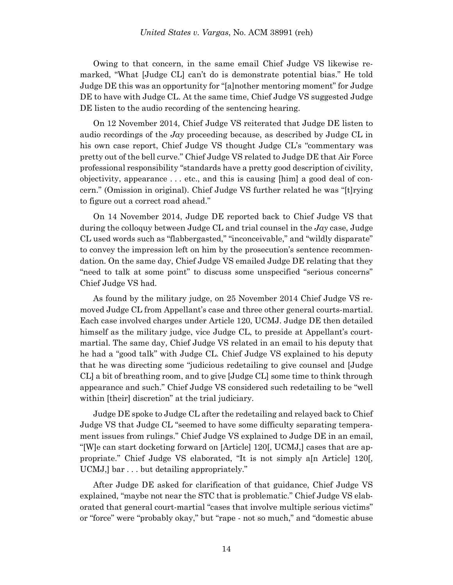Owing to that concern, in the same email Chief Judge VS likewise remarked, "What [Judge CL] can't do is demonstrate potential bias." He told Judge DE this was an opportunity for "[a]nother mentoring moment" for Judge DE to have with Judge CL. At the same time, Chief Judge VS suggested Judge DE listen to the audio recording of the sentencing hearing.

On 12 November 2014, Chief Judge VS reiterated that Judge DE listen to audio recordings of the *Jay* proceeding because, as described by Judge CL in his own case report, Chief Judge VS thought Judge CL's "commentary was pretty out of the bell curve." Chief Judge VS related to Judge DE that Air Force professional responsibility "standards have a pretty good description of civility, objectivity, appearance . . . etc., and this is causing [him] a good deal of concern." (Omission in original). Chief Judge VS further related he was "[t]rying to figure out a correct road ahead."

On 14 November 2014, Judge DE reported back to Chief Judge VS that during the colloquy between Judge CL and trial counsel in the *Jay* case, Judge CL used words such as "flabbergasted," "inconceivable," and "wildly disparate" to convey the impression left on him by the prosecution's sentence recommendation. On the same day, Chief Judge VS emailed Judge DE relating that they "need to talk at some point" to discuss some unspecified "serious concerns" Chief Judge VS had.

As found by the military judge, on 25 November 2014 Chief Judge VS removed Judge CL from Appellant's case and three other general courts-martial. Each case involved charges under Article 120, UCMJ. Judge DE then detailed himself as the military judge, vice Judge CL, to preside at Appellant's courtmartial. The same day, Chief Judge VS related in an email to his deputy that he had a "good talk" with Judge CL. Chief Judge VS explained to his deputy that he was directing some "judicious redetailing to give counsel and [Judge CL] a bit of breathing room, and to give [Judge CL] some time to think through appearance and such." Chief Judge VS considered such redetailing to be "well within [their] discretion" at the trial judiciary.

Judge DE spoke to Judge CL after the redetailing and relayed back to Chief Judge VS that Judge CL "seemed to have some difficulty separating temperament issues from rulings." Chief Judge VS explained to Judge DE in an email, "[W]e can start docketing forward on [Article] 120[, UCMJ,] cases that are appropriate." Chief Judge VS elaborated, "It is not simply a[n Article] 120[, UCMJ,] bar . . . but detailing appropriately."

After Judge DE asked for clarification of that guidance, Chief Judge VS explained, "maybe not near the STC that is problematic." Chief Judge VS elaborated that general court-martial "cases that involve multiple serious victims" or "force" were "probably okay," but "rape - not so much," and "domestic abuse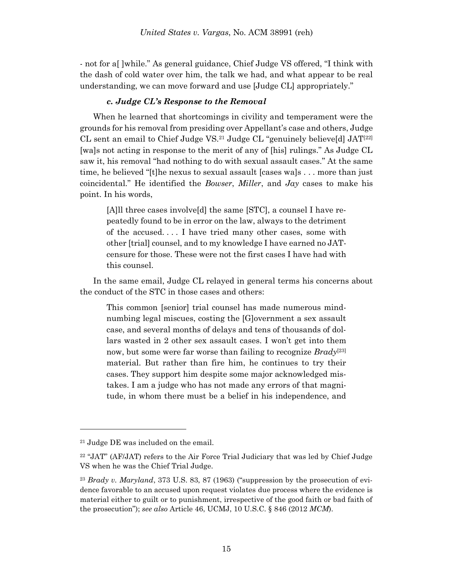- not for a[ ]while." As general guidance, Chief Judge VS offered, "I think with the dash of cold water over him, the talk we had, and what appear to be real understanding, we can move forward and use [Judge CL] appropriately."

### *c. Judge CL's Response to the Removal*

When he learned that shortcomings in civility and temperament were the grounds for his removal from presiding over Appellant's case and others, Judge CL sent an email to Chief Judge VS.<sup>21</sup> Judge CL "genuinely believe[d] JAT[22] [wa]s not acting in response to the merit of any of [his] rulings." As Judge CL saw it, his removal "had nothing to do with sexual assault cases." At the same time, he believed "[t]he nexus to sexual assault [cases wa]s . . . more than just coincidental." He identified the *Bowser*, *Miller*, and *Jay* cases to make his point. In his words,

[A]ll three cases involve[d] the same [STC], a counsel I have repeatedly found to be in error on the law, always to the detriment of the accused. . . . I have tried many other cases, some with other [trial] counsel, and to my knowledge I have earned no JATcensure for those. These were not the first cases I have had with this counsel.

In the same email, Judge CL relayed in general terms his concerns about the conduct of the STC in those cases and others:

This common [senior] trial counsel has made numerous mindnumbing legal miscues, costing the [G]overnment a sex assault case, and several months of delays and tens of thousands of dollars wasted in 2 other sex assault cases. I won't get into them now, but some were far worse than failing to recognize *Brady*<sup>[23]</sup> material. But rather than fire him, he continues to try their cases. They support him despite some major acknowledged mistakes. I am a judge who has not made any errors of that magnitude, in whom there must be a belief in his independence, and

<sup>21</sup> Judge DE was included on the email.

<sup>22</sup> "JAT" (AF/JAT) refers to the Air Force Trial Judiciary that was led by Chief Judge VS when he was the Chief Trial Judge.

<sup>23</sup> *Brady v. Maryland*, 373 U.S. 83, 87 (1963) ("suppression by the prosecution of evidence favorable to an accused upon request violates due process where the evidence is material either to guilt or to punishment, irrespective of the good faith or bad faith of the prosecution"); *see also* Article 46, UCMJ, 10 U.S.C. § 846 (2012 *MCM*).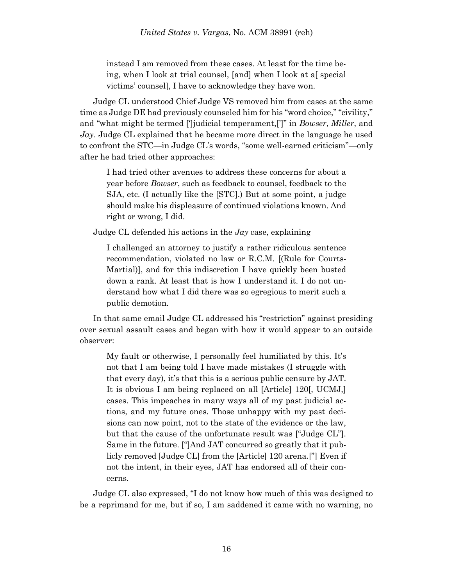instead I am removed from these cases. At least for the time being, when I look at trial counsel, [and] when I look at a[ special victims' counsel], I have to acknowledge they have won.

Judge CL understood Chief Judge VS removed him from cases at the same time as Judge DE had previously counseled him for his "word choice," "civility," and "what might be termed [']judicial temperament,[']" in *Bowser*, *Miller*, and *Jay*. Judge CL explained that he became more direct in the language he used to confront the STC—in Judge CL's words, "some well-earned criticism"—only after he had tried other approaches:

I had tried other avenues to address these concerns for about a year before *Bowser*, such as feedback to counsel, feedback to the SJA, etc. (I actually like the [STC].) But at some point, a judge should make his displeasure of continued violations known. And right or wrong, I did.

Judge CL defended his actions in the *Jay* case, explaining

I challenged an attorney to justify a rather ridiculous sentence recommendation, violated no law or R.C.M. [(Rule for Courts-Martial)], and for this indiscretion I have quickly been busted down a rank. At least that is how I understand it. I do not understand how what I did there was so egregious to merit such a public demotion.

In that same email Judge CL addressed his "restriction" against presiding over sexual assault cases and began with how it would appear to an outside observer:

My fault or otherwise, I personally feel humiliated by this. It's not that I am being told I have made mistakes (I struggle with that every day), it's that this is a serious public censure by JAT. It is obvious I am being replaced on all [Article] 120[, UCMJ,] cases. This impeaches in many ways all of my past judicial actions, and my future ones. Those unhappy with my past decisions can now point, not to the state of the evidence or the law, but that the cause of the unfortunate result was ["Judge CL"]. Same in the future. ["]And JAT concurred so greatly that it publicly removed [Judge CL] from the [Article] 120 arena.["] Even if not the intent, in their eyes, JAT has endorsed all of their concerns.

Judge CL also expressed, "I do not know how much of this was designed to be a reprimand for me, but if so, I am saddened it came with no warning, no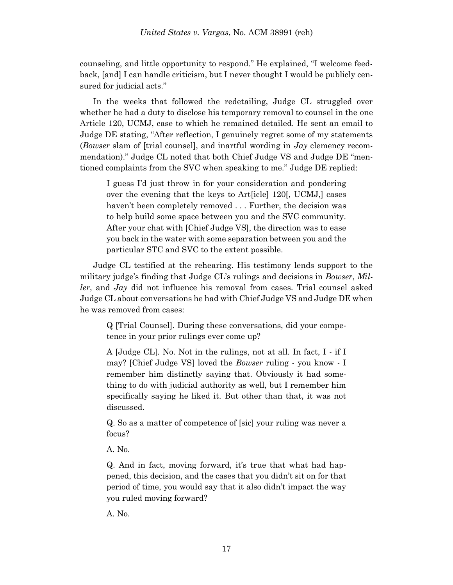counseling, and little opportunity to respond." He explained, "I welcome feedback, [and] I can handle criticism, but I never thought I would be publicly censured for judicial acts."

In the weeks that followed the redetailing, Judge CL struggled over whether he had a duty to disclose his temporary removal to counsel in the one Article 120, UCMJ, case to which he remained detailed. He sent an email to Judge DE stating, "After reflection, I genuinely regret some of my statements (*Bowser* slam of [trial counsel], and inartful wording in *Jay* clemency recommendation)." Judge CL noted that both Chief Judge VS and Judge DE "mentioned complaints from the SVC when speaking to me." Judge DE replied:

I guess I'd just throw in for your consideration and pondering over the evening that the keys to Art[icle] 120[, UCMJ,] cases haven't been completely removed . . . Further, the decision was to help build some space between you and the SVC community. After your chat with [Chief Judge VS], the direction was to ease you back in the water with some separation between you and the particular STC and SVC to the extent possible.

Judge CL testified at the rehearing. His testimony lends support to the military judge's finding that Judge CL's rulings and decisions in *Bowser*, *Miller*, and *Jay* did not influence his removal from cases. Trial counsel asked Judge CL about conversations he had with Chief Judge VS and Judge DE when he was removed from cases:

Q [Trial Counsel]. During these conversations, did your competence in your prior rulings ever come up?

A [Judge CL]. No. Not in the rulings, not at all. In fact, I - if I may? [Chief Judge VS] loved the *Bowser* ruling - you know - I remember him distinctly saying that. Obviously it had something to do with judicial authority as well, but I remember him specifically saying he liked it. But other than that, it was not discussed.

Q. So as a matter of competence of [sic] your ruling was never a focus?

A. No.

Q. And in fact, moving forward, it's true that what had happened, this decision, and the cases that you didn't sit on for that period of time, you would say that it also didn't impact the way you ruled moving forward?

A. No.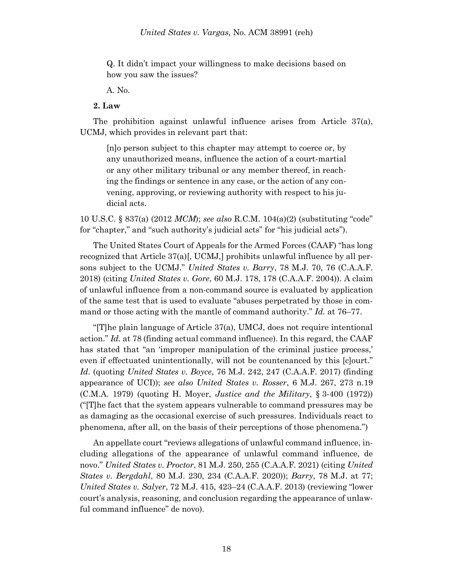Q. It didn't impact your willingness to make decisions based on how you saw the issues?

A. No.

### **2. Law**

The prohibition against unlawful influence arises from Article 37(a), UCMJ, which provides in relevant part that:

[n]o person subject to this chapter may attempt to coerce or, by any unauthorized means, influence the action of a court-martial or any other military tribunal or any member thereof, in reaching the findings or sentence in any case, or the action of any convening, approving, or reviewing authority with respect to his judicial acts.

10 U.S.C. § 837(a) (2012 *MCM*); *see also* R.C.M. 104(a)(2) (substituting "code" for "chapter," and "such authority's judicial acts" for "his judicial acts").

The United States Court of Appeals for the Armed Forces (CAAF) "has long recognized that Article  $37(a)$ , UCMJ, prohibits unlawful influence by all persons subject to the UCMJ." *United States v. Barry*, 78 M.J. 70, 76 (C.A.A.F. 2018) (citing *United States v. Gore*, 60 M.J. 178, 178 (C.A.A.F. 2004)). A claim of unlawful influence from a non-command source is evaluated by application of the same test that is used to evaluate "abuses perpetrated by those in command or those acting with the mantle of command authority." *Id.* at 76–77.

"[T]he plain language of Article 37(a), UMCJ, does not require intentional action." *Id.* at 78 (finding actual command influence). In this regard, the CAAF has stated that "an 'improper manipulation of the criminal justice process,' even if effectuated unintentionally, will not be countenanced by this [c]ourt." *Id.* (quoting *United States v. Boyce*, 76 M.J. 242, 247 (C.A.A.F. 2017) (finding appearance of UCI)); *see also United States v. Rosser*, 6 M.J. 267, 273 n.19 (C.M.A. 1979) (quoting H. Moyer, *Justice and the Military*, § 3-400 (1972)) ("[T]he fact that the system appears vulnerable to command pressures may be as damaging as the occasional exercise of such pressures. Individuals react to phenomena, after all, on the basis of their perceptions of those phenomena.")

An appellate court "reviews allegations of unlawful command influence, including allegations of the appearance of unlawful command influence, de novo." *United States v. Proctor*, 81 M.J. 250, 255 (C.A.A.F. 2021) (citing *United States v. Bergdahl*, 80 M.J. 230, 234 (C.A.A.F. 2020)); *Barry*, 78 M.J. at 77; *United States v. Salyer*, 72 M.J. 415, 423–24 (C.A.A.F. 2013) (reviewing "lower court's analysis, reasoning, and conclusion regarding the appearance of unlawful command influence" de novo).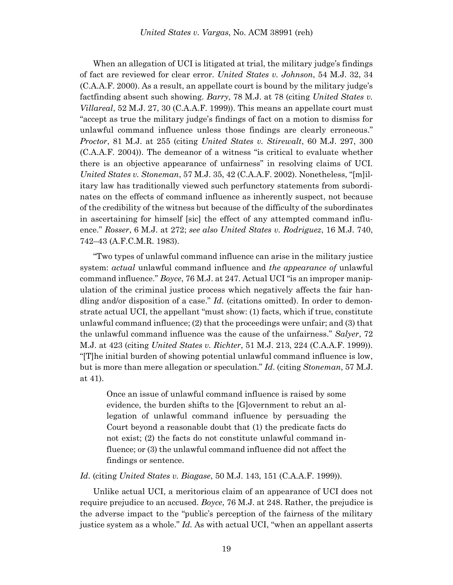When an allegation of UCI is litigated at trial, the military judge's findings of fact are reviewed for clear error. *United States v. Johnson*, 54 M.J. 32, 34 (C.A.A.F. 2000). As a result, an appellate court is bound by the military judge's factfinding absent such showing. *Barry*, 78 M.J. at 78 (citing *United States v. Villareal*, 52 M.J. 27, 30 (C.A.A.F. 1999)). This means an appellate court must "accept as true the military judge's findings of fact on a motion to dismiss for unlawful command influence unless those findings are clearly erroneous." *Proctor*, 81 M.J. at 255 (citing *United States v. Stirewalt*, 60 M.J. 297, 300 (C.A.A.F. 2004)). The demeanor of a witness "is critical to evaluate whether there is an objective appearance of unfairness" in resolving claims of UCI. *United States v. Stoneman*, 57 M.J. 35, 42 (C.A.A.F. 2002). Nonetheless, "[m]ilitary law has traditionally viewed such perfunctory statements from subordinates on the effects of command influence as inherently suspect, not because of the credibility of the witness but because of the difficulty of the subordinates in ascertaining for himself [sic] the effect of any attempted command influence." *Rosser*, 6 M.J. at 272; *see also United States v. Rodriguez*, 16 M.J. 740, 742–43 (A.F.C.M.R. 1983).

"Two types of unlawful command influence can arise in the military justice system: *actual* unlawful command influence and *the appearance of* unlawful command influence." *Boyce*, 76 M.J. at 247. Actual UCI "is an improper manipulation of the criminal justice process which negatively affects the fair handling and/or disposition of a case." *Id*. (citations omitted). In order to demonstrate actual UCI, the appellant "must show: (1) facts, which if true, constitute unlawful command influence; (2) that the proceedings were unfair; and (3) that the unlawful command influence was the cause of the unfairness." *Salyer*, 72 M.J. at 423 (citing *United States v. Richter*, 51 M.J. 213, 224 (C.A.A.F. 1999)). "[T]he initial burden of showing potential unlawful command influence is low, but is more than mere allegation or speculation." *Id*. (citing *Stoneman*, 57 M.J. at 41).

Once an issue of unlawful command influence is raised by some evidence, the burden shifts to the [G]overnment to rebut an allegation of unlawful command influence by persuading the Court beyond a reasonable doubt that (1) the predicate facts do not exist; (2) the facts do not constitute unlawful command influence; or (3) the unlawful command influence did not affect the findings or sentence.

*Id*. (citing *United States v. Biagase*, 50 M.J. 143, 151 (C.A.A.F. 1999)).

Unlike actual UCI, a meritorious claim of an appearance of UCI does not require prejudice to an accused. *Boyce*, 76 M.J. at 248. Rather, the prejudice is the adverse impact to the "public's perception of the fairness of the military justice system as a whole." *Id.* As with actual UCI, "when an appellant asserts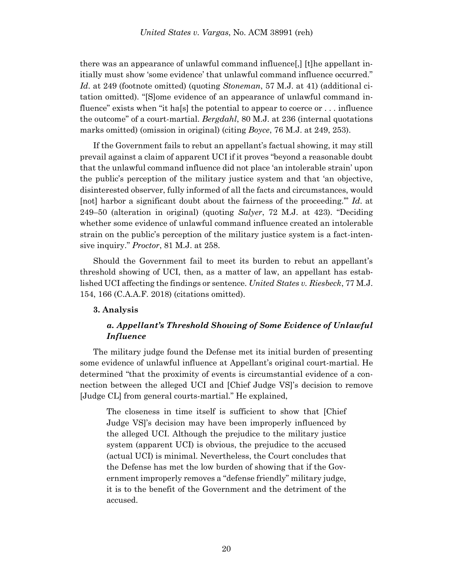there was an appearance of unlawful command influence[,] [t]he appellant initially must show 'some evidence' that unlawful command influence occurred." *Id*. at 249 (footnote omitted) (quoting *Stoneman*, 57 M.J. at 41) (additional citation omitted). "[S]ome evidence of an appearance of unlawful command influence" exists when "it has  $[s]$  the potential to appear to coerce or ... influence the outcome" of a court-martial. *Bergdahl*, 80 M.J. at 236 (internal quotations marks omitted) (omission in original) (citing *Boyce*, 76 M.J. at 249, 253).

If the Government fails to rebut an appellant's factual showing, it may still prevail against a claim of apparent UCI if it proves "beyond a reasonable doubt that the unlawful command influence did not place 'an intolerable strain' upon the public's perception of the military justice system and that 'an objective, disinterested observer, fully informed of all the facts and circumstances, would [not] harbor a significant doubt about the fairness of the proceeding.'" *Id*. at 249–50 (alteration in original) (quoting *Salyer*, 72 M.J. at 423). "Deciding whether some evidence of unlawful command influence created an intolerable strain on the public's perception of the military justice system is a fact-intensive inquiry." *Proctor*, 81 M.J. at 258.

Should the Government fail to meet its burden to rebut an appellant's threshold showing of UCI, then, as a matter of law, an appellant has established UCI affecting the findings or sentence. *United States v. Riesbeck*, 77 M.J. 154, 166 (C.A.A.F. 2018) (citations omitted).

#### **3. Analysis**

# *a. Appellant's Threshold Showing of Some Evidence of Unlawful Influence*

The military judge found the Defense met its initial burden of presenting some evidence of unlawful influence at Appellant's original court-martial. He determined "that the proximity of events is circumstantial evidence of a connection between the alleged UCI and [Chief Judge VS]'s decision to remove [Judge CL] from general courts-martial." He explained,

The closeness in time itself is sufficient to show that [Chief Judge VS]'s decision may have been improperly influenced by the alleged UCI. Although the prejudice to the military justice system (apparent UCI) is obvious, the prejudice to the accused (actual UCI) is minimal. Nevertheless, the Court concludes that the Defense has met the low burden of showing that if the Government improperly removes a "defense friendly" military judge, it is to the benefit of the Government and the detriment of the accused.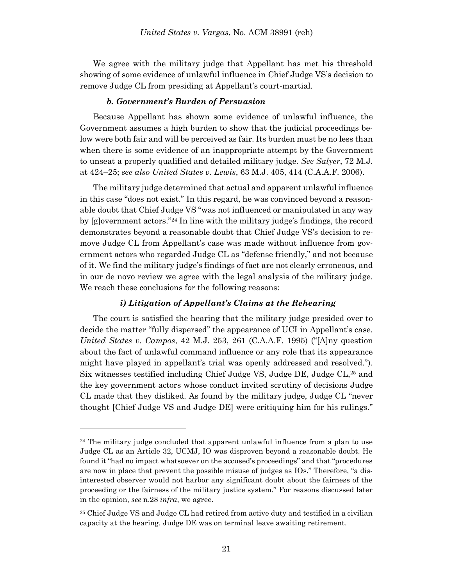We agree with the military judge that Appellant has met his threshold showing of some evidence of unlawful influence in Chief Judge VS's decision to remove Judge CL from presiding at Appellant's court-martial.

#### *b. Government's Burden of Persuasion*

Because Appellant has shown some evidence of unlawful influence, the Government assumes a high burden to show that the judicial proceedings below were both fair and will be perceived as fair. Its burden must be no less than when there is some evidence of an inappropriate attempt by the Government to unseat a properly qualified and detailed military judge. *See Salyer*, 72 M.J. at 424–25; *see also United States v. Lewis*, 63 M.J. 405, 414 (C.A.A.F. 2006).

The military judge determined that actual and apparent unlawful influence in this case "does not exist." In this regard, he was convinced beyond a reasonable doubt that Chief Judge VS "was not influenced or manipulated in any way by [g]overnment actors."<sup>24</sup> In line with the military judge's findings, the record demonstrates beyond a reasonable doubt that Chief Judge VS's decision to remove Judge CL from Appellant's case was made without influence from government actors who regarded Judge CL as "defense friendly," and not because of it. We find the military judge's findings of fact are not clearly erroneous, and in our de novo review we agree with the legal analysis of the military judge. We reach these conclusions for the following reasons:

### *i) Litigation of Appellant's Claims at the Rehearing*

The court is satisfied the hearing that the military judge presided over to decide the matter "fully dispersed" the appearance of UCI in Appellant's case. *United States v. Campos*, 42 M.J. 253, 261 (C.A.A.F. 1995) ("[A]ny question about the fact of unlawful command influence or any role that its appearance might have played in appellant's trial was openly addressed and resolved."). Six witnesses testified including Chief Judge VS, Judge DE, Judge CL,<sup>25</sup> and the key government actors whose conduct invited scrutiny of decisions Judge CL made that they disliked. As found by the military judge, Judge CL "never thought [Chief Judge VS and Judge DE] were critiquing him for his rulings."

<sup>&</sup>lt;sup>24</sup> The military judge concluded that apparent unlawful influence from a plan to use Judge CL as an Article 32, UCMJ, IO was disproven beyond a reasonable doubt. He found it "had no impact whatsoever on the accused's proceedings" and that "procedures are now in place that prevent the possible misuse of judges as IOs." Therefore, "a disinterested observer would not harbor any significant doubt about the fairness of the proceeding or the fairness of the military justice system." For reasons discussed later in the opinion, *see* n.28 *infra*, we agree.

<sup>25</sup> Chief Judge VS and Judge CL had retired from active duty and testified in a civilian capacity at the hearing. Judge DE was on terminal leave awaiting retirement.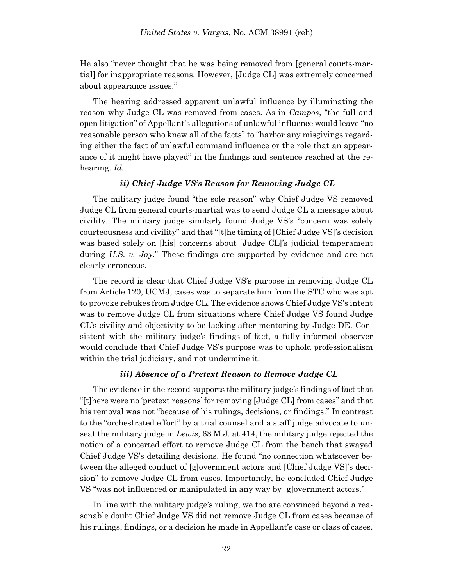He also "never thought that he was being removed from [general courts-martial] for inappropriate reasons. However, [Judge CL] was extremely concerned about appearance issues."

The hearing addressed apparent unlawful influence by illuminating the reason why Judge CL was removed from cases. As in *Campos*, "the full and open litigation" of Appellant's allegations of unlawful influence would leave "no reasonable person who knew all of the facts" to "harbor any misgivings regarding either the fact of unlawful command influence or the role that an appearance of it might have played" in the findings and sentence reached at the rehearing. *Id.*

### *ii) Chief Judge VS's Reason for Removing Judge CL*

The military judge found "the sole reason" why Chief Judge VS removed Judge CL from general courts-martial was to send Judge CL a message about civility. The military judge similarly found Judge VS's "concern was solely courteousness and civility" and that "[t]he timing of [Chief Judge VS]'s decision was based solely on [his] concerns about [Judge CL]'s judicial temperament during *U.S. v. Jay*." These findings are supported by evidence and are not clearly erroneous.

The record is clear that Chief Judge VS's purpose in removing Judge CL from Article 120, UCMJ, cases was to separate him from the STC who was apt to provoke rebukes from Judge CL. The evidence shows Chief Judge VS's intent was to remove Judge CL from situations where Chief Judge VS found Judge CL's civility and objectivity to be lacking after mentoring by Judge DE. Consistent with the military judge's findings of fact, a fully informed observer would conclude that Chief Judge VS's purpose was to uphold professionalism within the trial judiciary, and not undermine it.

#### *iii) Absence of a Pretext Reason to Remove Judge CL*

The evidence in the record supports the military judge's findings of fact that "[t]here were no 'pretext reasons' for removing [Judge CL] from cases" and that his removal was not "because of his rulings, decisions, or findings." In contrast to the "orchestrated effort" by a trial counsel and a staff judge advocate to unseat the military judge in *Lewis*, 63 M.J. at 414, the military judge rejected the notion of a concerted effort to remove Judge CL from the bench that swayed Chief Judge VS's detailing decisions. He found "no connection whatsoever between the alleged conduct of [g]overnment actors and [Chief Judge VS]'s decision" to remove Judge CL from cases. Importantly, he concluded Chief Judge VS "was not influenced or manipulated in any way by [g]overnment actors."

In line with the military judge's ruling, we too are convinced beyond a reasonable doubt Chief Judge VS did not remove Judge CL from cases because of his rulings, findings, or a decision he made in Appellant's case or class of cases.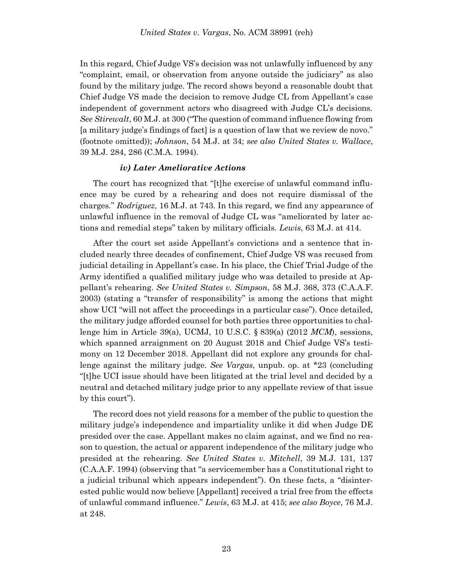In this regard, Chief Judge VS's decision was not unlawfully influenced by any "complaint, email, or observation from anyone outside the judiciary" as also found by the military judge. The record shows beyond a reasonable doubt that Chief Judge VS made the decision to remove Judge CL from Appellant's case independent of government actors who disagreed with Judge CL's decisions. *See Stirewalt*, 60 M.J. at 300 ("The question of command influence flowing from [a military judge's findings of fact] is a question of law that we review de novo." (footnote omitted)); *Johnson*, 54 M.J. at 34; *see also United States v. Wallace*, 39 M.J. 284, 286 (C.M.A. 1994).

### *iv) Later Ameliorative Actions*

The court has recognized that "[t]he exercise of unlawful command influence may be cured by a rehearing and does not require dismissal of the charges." *Rodriguez*, 16 M.J. at 743. In this regard, we find any appearance of unlawful influence in the removal of Judge CL was "ameliorated by later actions and remedial steps" taken by military officials. *Lewis*, 63 M.J. at 414.

After the court set aside Appellant's convictions and a sentence that included nearly three decades of confinement, Chief Judge VS was recused from judicial detailing in Appellant's case. In his place, the Chief Trial Judge of the Army identified a qualified military judge who was detailed to preside at Appellant's rehearing. *See United States v. Simpson*, 58 M.J. 368, 373 (C.A.A.F. 2003) (stating a "transfer of responsibility" is among the actions that might show UCI "will not affect the proceedings in a particular case"). Once detailed, the military judge afforded counsel for both parties three opportunities to challenge him in Article 39(a), UCMJ, 10 U.S.C. § 839(a) (2012 *MCM*), sessions, which spanned arraignment on 20 August 2018 and Chief Judge VS's testimony on 12 December 2018. Appellant did not explore any grounds for challenge against the military judge. *See Vargas*, unpub. op. at \*23 (concluding "[t]he UCI issue should have been litigated at the trial level and decided by a neutral and detached military judge prior to any appellate review of that issue by this court").

The record does not yield reasons for a member of the public to question the military judge's independence and impartiality unlike it did when Judge DE presided over the case. Appellant makes no claim against, and we find no reason to question, the actual or apparent independence of the military judge who presided at the rehearing. *See United States v. Mitchell*, 39 M.J. 131, 137 (C.A.A.F. 1994) (observing that "a servicemember has a Constitutional right to a judicial tribunal which appears independent"). On these facts, a "disinterested public would now believe [Appellant] received a trial free from the effects of unlawful command influence." *Lewis*, 63 M.J. at 415; *see also Boyce*, 76 M.J. at 248.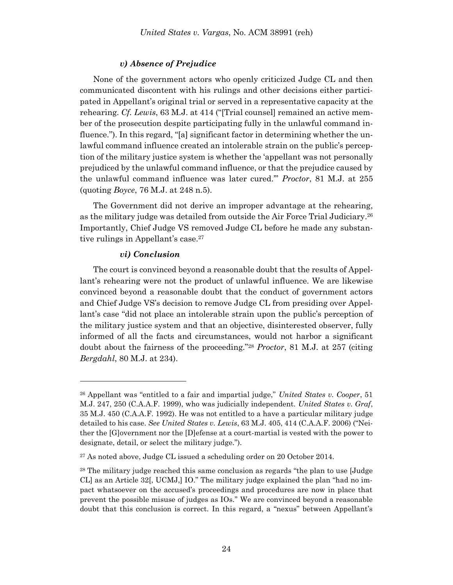### *v) Absence of Prejudice*

None of the government actors who openly criticized Judge CL and then communicated discontent with his rulings and other decisions either participated in Appellant's original trial or served in a representative capacity at the rehearing. *Cf. Lewis*, 63 M.J. at 414 ("[Trial counsel] remained an active member of the prosecution despite participating fully in the unlawful command influence."). In this regard, "[a] significant factor in determining whether the unlawful command influence created an intolerable strain on the public's perception of the military justice system is whether the 'appellant was not personally prejudiced by the unlawful command influence, or that the prejudice caused by the unlawful command influence was later cured.'" *Proctor*, 81 M.J. at 255 (quoting *Boyce*, 76 M.J. at 248 n.5).

The Government did not derive an improper advantage at the rehearing, as the military judge was detailed from outside the Air Force Trial Judiciary. 26 Importantly, Chief Judge VS removed Judge CL before he made any substantive rulings in Appellant's case. 27

#### *vi) Conclusion*

The court is convinced beyond a reasonable doubt that the results of Appellant's rehearing were not the product of unlawful influence. We are likewise convinced beyond a reasonable doubt that the conduct of government actors and Chief Judge VS's decision to remove Judge CL from presiding over Appellant's case "did not place an intolerable strain upon the public's perception of the military justice system and that an objective, disinterested observer, fully informed of all the facts and circumstances, would not harbor a significant doubt about the fairness of the proceeding."<sup>28</sup> *Proctor*, 81 M.J. at 257 (citing *Bergdahl*, 80 M.J. at 234).

<sup>26</sup> Appellant was "entitled to a fair and impartial judge," *United States v. Cooper*, 51 M.J. 247, 250 (C.A.A.F. 1999), who was judicially independent. *United States v. Graf*, 35 M.J. 450 (C.A.A.F. 1992). He was not entitled to a have a particular military judge detailed to his case. *See United States v. Lewis*, 63 M.J. 405, 414 (C.A.A.F. 2006) ("Neither the [G]overnment nor the [D]efense at a court-martial is vested with the power to designate, detail, or select the military judge.").

<sup>27</sup> As noted above, Judge CL issued a scheduling order on 20 October 2014.

<sup>&</sup>lt;sup>28</sup> The military judge reached this same conclusion as regards "the plan to use [Judge CL] as an Article 32[, UCMJ,] IO." The military judge explained the plan "had no impact whatsoever on the accused's proceedings and procedures are now in place that prevent the possible misuse of judges as IOs." We are convinced beyond a reasonable doubt that this conclusion is correct. In this regard, a "nexus" between Appellant's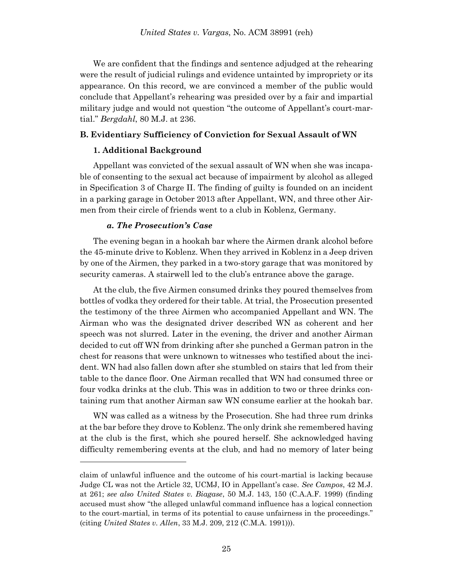We are confident that the findings and sentence adjudged at the rehearing were the result of judicial rulings and evidence untainted by impropriety or its appearance. On this record, we are convinced a member of the public would conclude that Appellant's rehearing was presided over by a fair and impartial military judge and would not question "the outcome of Appellant's court-martial." *Bergdahl*, 80 M.J. at 236.

### **B. Evidentiary Sufficiency of Conviction for Sexual Assault of WN**

### **1. Additional Background**

Appellant was convicted of the sexual assault of WN when she was incapable of consenting to the sexual act because of impairment by alcohol as alleged in Specification 3 of Charge II. The finding of guilty is founded on an incident in a parking garage in October 2013 after Appellant, WN, and three other Airmen from their circle of friends went to a club in Koblenz, Germany.

### *a. The Prosecution's Case*

l

The evening began in a hookah bar where the Airmen drank alcohol before the 45-minute drive to Koblenz. When they arrived in Koblenz in a Jeep driven by one of the Airmen, they parked in a two-story garage that was monitored by security cameras. A stairwell led to the club's entrance above the garage.

At the club, the five Airmen consumed drinks they poured themselves from bottles of vodka they ordered for their table. At trial, the Prosecution presented the testimony of the three Airmen who accompanied Appellant and WN. The Airman who was the designated driver described WN as coherent and her speech was not slurred. Later in the evening, the driver and another Airman decided to cut off WN from drinking after she punched a German patron in the chest for reasons that were unknown to witnesses who testified about the incident. WN had also fallen down after she stumbled on stairs that led from their table to the dance floor. One Airman recalled that WN had consumed three or four vodka drinks at the club. This was in addition to two or three drinks containing rum that another Airman saw WN consume earlier at the hookah bar.

WN was called as a witness by the Prosecution. She had three rum drinks at the bar before they drove to Koblenz. The only drink she remembered having at the club is the first, which she poured herself. She acknowledged having difficulty remembering events at the club, and had no memory of later being

claim of unlawful influence and the outcome of his court-martial is lacking because Judge CL was not the Article 32, UCMJ, IO in Appellant's case. *See Campos*, 42 M.J. at 261; *see also United States v. Biagase*, 50 M.J. 143, 150 (C.A.A.F. 1999) (finding accused must show "the alleged unlawful command influence has a logical connection to the court-martial, in terms of its potential to cause unfairness in the proceedings." (citing *United States v. Allen*, 33 M.J. 209, 212 (C.M.A. 1991))).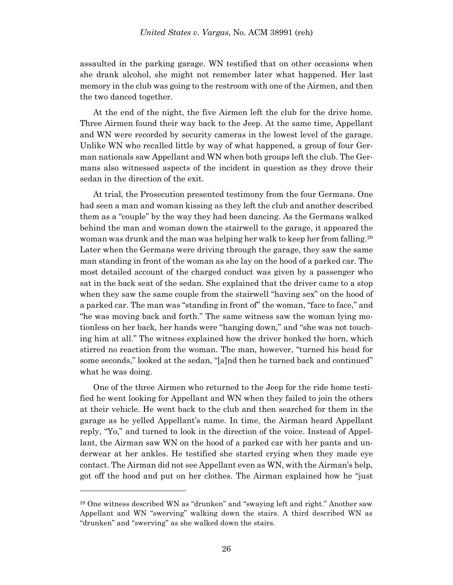assaulted in the parking garage. WN testified that on other occasions when she drank alcohol, she might not remember later what happened. Her last memory in the club was going to the restroom with one of the Airmen, and then the two danced together.

At the end of the night, the five Airmen left the club for the drive home. Three Airmen found their way back to the Jeep. At the same time, Appellant and WN were recorded by security cameras in the lowest level of the garage. Unlike WN who recalled little by way of what happened, a group of four German nationals saw Appellant and WN when both groups left the club. The Germans also witnessed aspects of the incident in question as they drove their sedan in the direction of the exit.

At trial, the Prosecution presented testimony from the four Germans. One had seen a man and woman kissing as they left the club and another described them as a "couple" by the way they had been dancing. As the Germans walked behind the man and woman down the stairwell to the garage, it appeared the woman was drunk and the man was helping her walk to keep her from falling.<sup>29</sup> Later when the Germans were driving through the garage, they saw the same man standing in front of the woman as she lay on the hood of a parked car. The most detailed account of the charged conduct was given by a passenger who sat in the back seat of the sedan. She explained that the driver came to a stop when they saw the same couple from the stairwell "having sex" on the hood of a parked car. The man was "standing in front of" the woman, "face to face," and "he was moving back and forth." The same witness saw the woman lying motionless on her back, her hands were "hanging down," and "she was not touching him at all." The witness explained how the driver honked the horn, which stirred no reaction from the woman. The man, however, "turned his head for some seconds," looked at the sedan, "[a]nd then he turned back and continued" what he was doing.

One of the three Airmen who returned to the Jeep for the ride home testified he went looking for Appellant and WN when they failed to join the others at their vehicle. He went back to the club and then searched for them in the garage as he yelled Appellant's name. In time, the Airman heard Appellant reply, "Yo," and turned to look in the direction of the voice. Instead of Appellant, the Airman saw WN on the hood of a parked car with her pants and underwear at her ankles. He testified she started crying when they made eye contact. The Airman did not see Appellant even as WN, with the Airman's help, got off the hood and put on her clothes. The Airman explained how he "just

<sup>29</sup> One witness described WN as "drunken" and "swaying left and right." Another saw Appellant and WN "swerving" walking down the stairs. A third described WN as "drunken" and "swerving" as she walked down the stairs.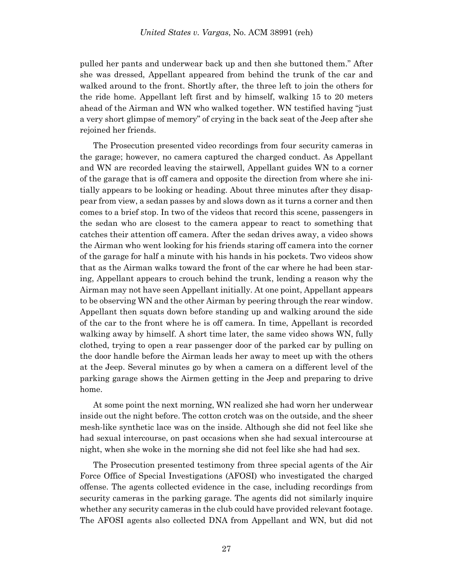pulled her pants and underwear back up and then she buttoned them." After she was dressed, Appellant appeared from behind the trunk of the car and walked around to the front. Shortly after, the three left to join the others for the ride home. Appellant left first and by himself, walking 15 to 20 meters ahead of the Airman and WN who walked together. WN testified having "just a very short glimpse of memory" of crying in the back seat of the Jeep after she rejoined her friends.

The Prosecution presented video recordings from four security cameras in the garage; however, no camera captured the charged conduct. As Appellant and WN are recorded leaving the stairwell, Appellant guides WN to a corner of the garage that is off camera and opposite the direction from where she initially appears to be looking or heading. About three minutes after they disappear from view, a sedan passes by and slows down as it turns a corner and then comes to a brief stop. In two of the videos that record this scene, passengers in the sedan who are closest to the camera appear to react to something that catches their attention off camera. After the sedan drives away, a video shows the Airman who went looking for his friends staring off camera into the corner of the garage for half a minute with his hands in his pockets. Two videos show that as the Airman walks toward the front of the car where he had been staring, Appellant appears to crouch behind the trunk, lending a reason why the Airman may not have seen Appellant initially. At one point, Appellant appears to be observing WN and the other Airman by peering through the rear window. Appellant then squats down before standing up and walking around the side of the car to the front where he is off camera. In time, Appellant is recorded walking away by himself. A short time later, the same video shows WN, fully clothed, trying to open a rear passenger door of the parked car by pulling on the door handle before the Airman leads her away to meet up with the others at the Jeep. Several minutes go by when a camera on a different level of the parking garage shows the Airmen getting in the Jeep and preparing to drive home.

At some point the next morning, WN realized she had worn her underwear inside out the night before. The cotton crotch was on the outside, and the sheer mesh-like synthetic lace was on the inside. Although she did not feel like she had sexual intercourse, on past occasions when she had sexual intercourse at night, when she woke in the morning she did not feel like she had had sex.

The Prosecution presented testimony from three special agents of the Air Force Office of Special Investigations (AFOSI) who investigated the charged offense. The agents collected evidence in the case, including recordings from security cameras in the parking garage. The agents did not similarly inquire whether any security cameras in the club could have provided relevant footage. The AFOSI agents also collected DNA from Appellant and WN, but did not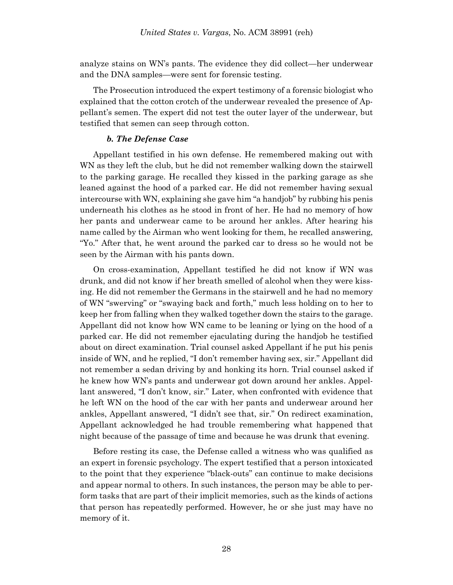analyze stains on WN's pants. The evidence they did collect—her underwear and the DNA samples—were sent for forensic testing.

The Prosecution introduced the expert testimony of a forensic biologist who explained that the cotton crotch of the underwear revealed the presence of Appellant's semen. The expert did not test the outer layer of the underwear, but testified that semen can seep through cotton.

### *b. The Defense Case*

Appellant testified in his own defense. He remembered making out with WN as they left the club, but he did not remember walking down the stairwell to the parking garage. He recalled they kissed in the parking garage as she leaned against the hood of a parked car. He did not remember having sexual intercourse with WN, explaining she gave him "a handjob" by rubbing his penis underneath his clothes as he stood in front of her. He had no memory of how her pants and underwear came to be around her ankles. After hearing his name called by the Airman who went looking for them, he recalled answering, "Yo." After that, he went around the parked car to dress so he would not be seen by the Airman with his pants down.

On cross-examination, Appellant testified he did not know if WN was drunk, and did not know if her breath smelled of alcohol when they were kissing. He did not remember the Germans in the stairwell and he had no memory of WN "swerving" or "swaying back and forth," much less holding on to her to keep her from falling when they walked together down the stairs to the garage. Appellant did not know how WN came to be leaning or lying on the hood of a parked car. He did not remember ejaculating during the handjob he testified about on direct examination. Trial counsel asked Appellant if he put his penis inside of WN, and he replied, "I don't remember having sex, sir." Appellant did not remember a sedan driving by and honking its horn. Trial counsel asked if he knew how WN's pants and underwear got down around her ankles. Appellant answered, "I don't know, sir." Later, when confronted with evidence that he left WN on the hood of the car with her pants and underwear around her ankles, Appellant answered, "I didn't see that, sir." On redirect examination, Appellant acknowledged he had trouble remembering what happened that night because of the passage of time and because he was drunk that evening.

Before resting its case, the Defense called a witness who was qualified as an expert in forensic psychology. The expert testified that a person intoxicated to the point that they experience "black-outs" can continue to make decisions and appear normal to others. In such instances, the person may be able to perform tasks that are part of their implicit memories, such as the kinds of actions that person has repeatedly performed. However, he or she just may have no memory of it.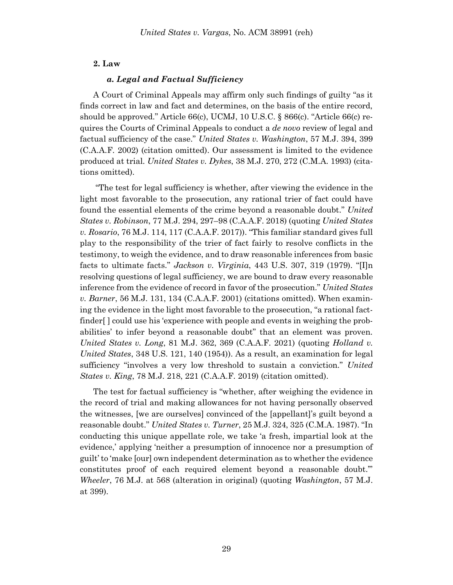### **2. Law**

### *a. Legal and Factual Sufficiency*

A Court of Criminal Appeals may affirm only such findings of guilty "as it finds correct in law and fact and determines, on the basis of the entire record, should be approved." Article 66(c), UCMJ, 10 U.S.C. § 866(c). "Article 66(c) requires the Courts of Criminal Appeals to conduct a *de novo* review of legal and factual sufficiency of the case." *United States v. Washington*, 57 M.J. 394, 399 (C.A.A.F. 2002) (citation omitted). Our assessment is limited to the evidence produced at trial. *United States v. Dykes*, 38 M.J. 270, 272 (C.M.A. 1993) (citations omitted).

"The test for legal sufficiency is whether, after viewing the evidence in the light most favorable to the prosecution, any rational trier of fact could have found the essential elements of the crime beyond a reasonable doubt." *United States v. Robinson*, 77 M.J. 294, 297–98 (C.A.A.F. 2018) (quoting *United States v. Rosario*, 76 M.J. 114, 117 (C.A.A.F. 2017)). "This familiar standard gives full play to the responsibility of the trier of fact fairly to resolve conflicts in the testimony, to weigh the evidence, and to draw reasonable inferences from basic facts to ultimate facts." *Jackson v. Virginia*, 443 U.S. 307, 319 (1979). "[I]n resolving questions of legal sufficiency, we are bound to draw every reasonable inference from the evidence of record in favor of the prosecution." *United States v. Barner*, 56 M.J. 131, 134 (C.A.A.F. 2001) (citations omitted). When examining the evidence in the light most favorable to the prosecution, "a rational factfinder[] could use his 'experience with people and events in weighing the probabilities' to infer beyond a reasonable doubt" that an element was proven. *United States v. Long*, 81 M.J. 362, 369 (C.A.A.F. 2021) (quoting *Holland v. United States*, 348 U.S. 121, 140 (1954)). As a result, an examination for legal sufficiency "involves a very low threshold to sustain a conviction." *United States v. King*, 78 M.J. 218, 221 (C.A.A.F. 2019) (citation omitted).

The test for factual sufficiency is "whether, after weighing the evidence in the record of trial and making allowances for not having personally observed the witnesses, [we are ourselves] convinced of the [appellant]'s guilt beyond a reasonable doubt." *United States v. Turner*, 25 M.J. 324, 325 (C.M.A. 1987). "In conducting this unique appellate role, we take 'a fresh, impartial look at the evidence,' applying 'neither a presumption of innocence nor a presumption of guilt' to 'make [our] own independent determination as to whether the evidence constitutes proof of each required element beyond a reasonable doubt.'" *Wheeler*, 76 M.J. at 568 (alteration in original) (quoting *Washington*, 57 M.J. at 399).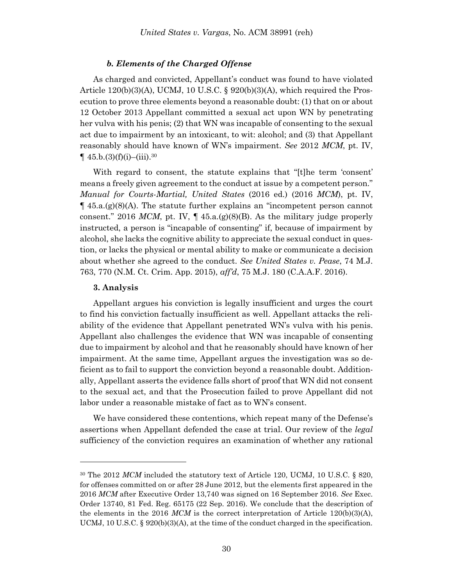#### *b. Elements of the Charged Offense*

As charged and convicted, Appellant's conduct was found to have violated Article  $120(b)(3)(A)$ , UCMJ, 10 U.S.C. §  $920(b)(3)(A)$ , which required the Prosecution to prove three elements beyond a reasonable doubt: (1) that on or about 12 October 2013 Appellant committed a sexual act upon WN by penetrating her vulva with his penis; (2) that WN was incapable of consenting to the sexual act due to impairment by an intoxicant, to wit: alcohol; and (3) that Appellant reasonably should have known of WN's impairment. *See* 2012 *MCM*, pt. IV,  $\P$  45.b.(3)(f)(i)–(iii).<sup>30</sup>

With regard to consent, the statute explains that "[t]he term 'consent' means a freely given agreement to the conduct at issue by a competent person." *Manual for Courts-Martial, United States* (2016 ed.) (2016 *MCM*), pt. IV,  $\P$  45.a. $(g)(8)(A)$ . The statute further explains an "incompetent person cannot consent." 2016 *MCM*, pt. IV,  $\P$  45.a.(g)(8)(B). As the military judge properly instructed, a person is "incapable of consenting" if, because of impairment by alcohol, she lacks the cognitive ability to appreciate the sexual conduct in question, or lacks the physical or mental ability to make or communicate a decision about whether she agreed to the conduct. *See United States v. Pease*, 74 M.J. 763, 770 (N.M. Ct. Crim. App. 2015), *aff'd*, 75 M.J. 180 (C.A.A.F. 2016).

#### **3. Analysis**

l

Appellant argues his conviction is legally insufficient and urges the court to find his conviction factually insufficient as well. Appellant attacks the reliability of the evidence that Appellant penetrated WN's vulva with his penis. Appellant also challenges the evidence that WN was incapable of consenting due to impairment by alcohol and that he reasonably should have known of her impairment. At the same time, Appellant argues the investigation was so deficient as to fail to support the conviction beyond a reasonable doubt. Additionally, Appellant asserts the evidence falls short of proof that WN did not consent to the sexual act, and that the Prosecution failed to prove Appellant did not labor under a reasonable mistake of fact as to WN's consent.

We have considered these contentions, which repeat many of the Defense's assertions when Appellant defended the case at trial. Our review of the *legal* sufficiency of the conviction requires an examination of whether any rational

<sup>30</sup> The 2012 *MCM* included the statutory text of Article 120, UCMJ, 10 U.S.C. § 820, for offenses committed on or after 28 June 2012, but the elements first appeared in the 2016 *MCM* after Executive Order 13,740 was signed on 16 September 2016. *See* Exec. Order 13740, 81 Fed. Reg. 65175 (22 Sep. 2016). We conclude that the description of the elements in the 2016 *MCM* is the correct interpretation of Article 120(b)(3)(A), UCMJ, 10 U.S.C. § 920(b)(3)(A), at the time of the conduct charged in the specification.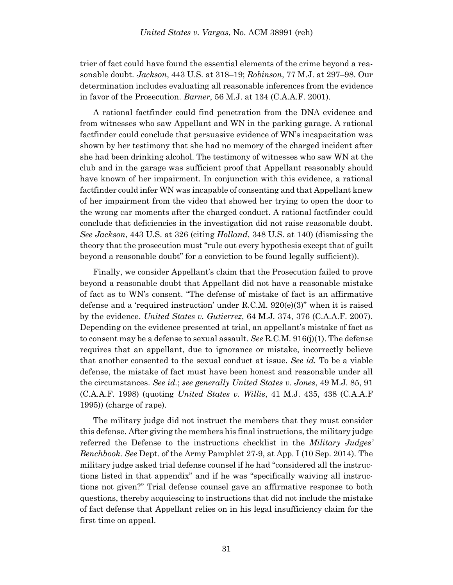trier of fact could have found the essential elements of the crime beyond a reasonable doubt. *Jackson*, 443 U.S. at 318–19; *Robinson*, 77 M.J. at 297–98. Our determination includes evaluating all reasonable inferences from the evidence in favor of the Prosecution. *Barner*, 56 M.J. at 134 (C.A.A.F. 2001).

A rational factfinder could find penetration from the DNA evidence and from witnesses who saw Appellant and WN in the parking garage. A rational factfinder could conclude that persuasive evidence of WN's incapacitation was shown by her testimony that she had no memory of the charged incident after she had been drinking alcohol. The testimony of witnesses who saw WN at the club and in the garage was sufficient proof that Appellant reasonably should have known of her impairment. In conjunction with this evidence, a rational factfinder could infer WN was incapable of consenting and that Appellant knew of her impairment from the video that showed her trying to open the door to the wrong car moments after the charged conduct. A rational factfinder could conclude that deficiencies in the investigation did not raise reasonable doubt. *See Jackson*, 443 U.S. at 326 (citing *Holland*, 348 U.S. at 140) (dismissing the theory that the prosecution must "rule out every hypothesis except that of guilt beyond a reasonable doubt" for a conviction to be found legally sufficient)).

Finally, we consider Appellant's claim that the Prosecution failed to prove beyond a reasonable doubt that Appellant did not have a reasonable mistake of fact as to WN's consent. "The defense of mistake of fact is an affirmative defense and a 'required instruction' under R.C.M. 920(e)(3)" when it is raised by the evidence. *United States v. Gutierrez*, 64 M.J. 374, 376 (C.A.A.F. 2007). Depending on the evidence presented at trial, an appellant's mistake of fact as to consent may be a defense to sexual assault. *See* R.C.M. 916(j)(1). The defense requires that an appellant, due to ignorance or mistake, incorrectly believe that another consented to the sexual conduct at issue. *See id.* To be a viable defense, the mistake of fact must have been honest and reasonable under all the circumstances. *See id.*; *see generally United States v. Jones*, 49 M.J. 85, 91 (C.A.A.F. 1998) (quoting *United States v. Willis*, 41 M.J. 435, 438 (C.A.A.F 1995)) (charge of rape).

The military judge did not instruct the members that they must consider this defense. After giving the members his final instructions, the military judge referred the Defense to the instructions checklist in the *Military Judges' Benchbook*. *See* Dept. of the Army Pamphlet 27-9, at App. I (10 Sep. 2014). The military judge asked trial defense counsel if he had "considered all the instructions listed in that appendix" and if he was "specifically waiving all instructions not given?" Trial defense counsel gave an affirmative response to both questions, thereby acquiescing to instructions that did not include the mistake of fact defense that Appellant relies on in his legal insufficiency claim for the first time on appeal.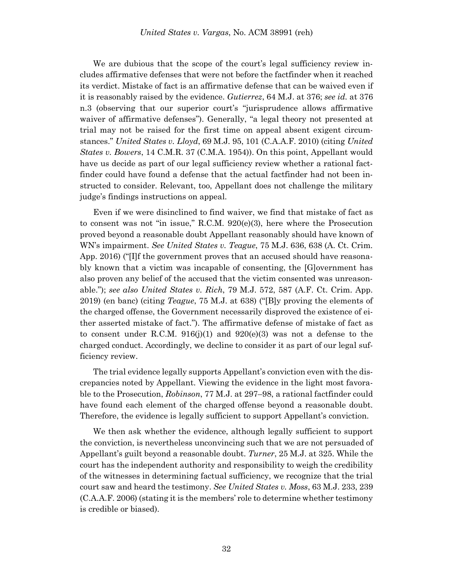We are dubious that the scope of the court's legal sufficiency review includes affirmative defenses that were not before the factfinder when it reached its verdict. Mistake of fact is an affirmative defense that can be waived even if it is reasonably raised by the evidence. *Gutierrez*, 64 M.J. at 376; *see id.* at 376 n.3 (observing that our superior court's "jurisprudence allows affirmative waiver of affirmative defenses"). Generally, "a legal theory not presented at trial may not be raised for the first time on appeal absent exigent circumstances." *United States v. Lloyd*, 69 M.J. 95, 101 (C.A.A.F. 2010) (citing *United States v. Bowers*, 14 C.M.R. 37 (C.M.A. 1954)). On this point, Appellant would have us decide as part of our legal sufficiency review whether a rational factfinder could have found a defense that the actual factfinder had not been instructed to consider. Relevant, too, Appellant does not challenge the military judge's findings instructions on appeal.

Even if we were disinclined to find waiver, we find that mistake of fact as to consent was not "in issue," R.C.M. 920(e)(3), here where the Prosecution proved beyond a reasonable doubt Appellant reasonably should have known of WN's impairment. *See United States v. Teague*, 75 M.J. 636, 638 (A. Ct. Crim. App. 2016) ("[I]f the government proves that an accused should have reasonably known that a victim was incapable of consenting, the [G]overnment has also proven any belief of the accused that the victim consented was unreasonable."); *see also United States v. Rich*, 79 M.J. 572, 587 (A.F. Ct. Crim. App. 2019) (en banc) (citing *Teague*, 75 M.J. at 638) ("[B]y proving the elements of the charged offense, the Government necessarily disproved the existence of either asserted mistake of fact."). The affirmative defense of mistake of fact as to consent under R.C.M.  $916(j)(1)$  and  $920(e)(3)$  was not a defense to the charged conduct. Accordingly, we decline to consider it as part of our legal sufficiency review.

The trial evidence legally supports Appellant's conviction even with the discrepancies noted by Appellant. Viewing the evidence in the light most favorable to the Prosecution, *Robinson*, 77 M.J. at 297–98, a rational factfinder could have found each element of the charged offense beyond a reasonable doubt. Therefore, the evidence is legally sufficient to support Appellant's conviction.

We then ask whether the evidence, although legally sufficient to support the conviction, is nevertheless unconvincing such that we are not persuaded of Appellant's guilt beyond a reasonable doubt. *Turner*, 25 M.J. at 325. While the court has the independent authority and responsibility to weigh the credibility of the witnesses in determining factual sufficiency, we recognize that the trial court saw and heard the testimony. *See United States v. Moss*, 63 M.J. 233, 239 (C.A.A.F. 2006) (stating it is the members' role to determine whether testimony is credible or biased).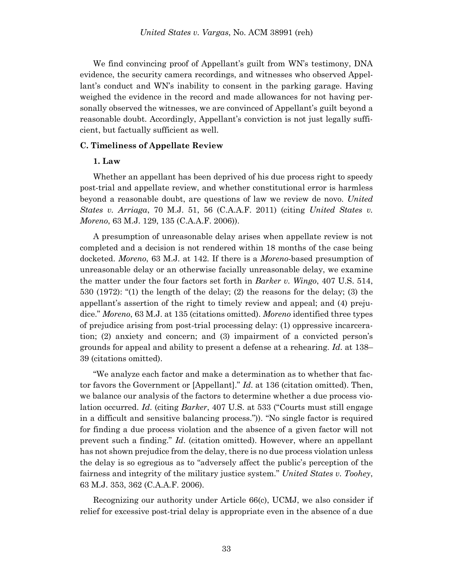We find convincing proof of Appellant's guilt from WN's testimony, DNA evidence, the security camera recordings, and witnesses who observed Appellant's conduct and WN's inability to consent in the parking garage. Having weighed the evidence in the record and made allowances for not having personally observed the witnesses, we are convinced of Appellant's guilt beyond a reasonable doubt. Accordingly, Appellant's conviction is not just legally sufficient, but factually sufficient as well.

### **C. Timeliness of Appellate Review**

### **1. Law**

Whether an appellant has been deprived of his due process right to speedy post-trial and appellate review, and whether constitutional error is harmless beyond a reasonable doubt, are questions of law we review de novo. *United States v. Arriaga*, 70 M.J. 51, 56 (C.A.A.F. 2011) (citing *United States v. Moreno*, 63 M.J. 129, 135 (C.A.A.F. 2006)).

A presumption of unreasonable delay arises when appellate review is not completed and a decision is not rendered within 18 months of the case being docketed. *Moreno*, 63 M.J. at 142. If there is a *Moreno*-based presumption of unreasonable delay or an otherwise facially unreasonable delay, we examine the matter under the four factors set forth in *Barker v. Wingo*, 407 U.S. 514, 530 (1972): "(1) the length of the delay; (2) the reasons for the delay; (3) the appellant's assertion of the right to timely review and appeal; and (4) prejudice." *Moreno*, 63 M.J. at 135 (citations omitted). *Moreno* identified three types of prejudice arising from post-trial processing delay: (1) oppressive incarceration; (2) anxiety and concern; and (3) impairment of a convicted person's grounds for appeal and ability to present a defense at a rehearing. *Id*. at 138– 39 (citations omitted).

"We analyze each factor and make a determination as to whether that factor favors the Government or [Appellant]." *Id*. at 136 (citation omitted). Then, we balance our analysis of the factors to determine whether a due process violation occurred. *Id*. (citing *Barker*, 407 U.S. at 533 ("Courts must still engage in a difficult and sensitive balancing process.")). "No single factor is required for finding a due process violation and the absence of a given factor will not prevent such a finding." *Id*. (citation omitted). However, where an appellant has not shown prejudice from the delay, there is no due process violation unless the delay is so egregious as to "adversely affect the public's perception of the fairness and integrity of the military justice system." *United States v. Toohey*, 63 M.J. 353, 362 (C.A.A.F. 2006).

Recognizing our authority under Article 66(c), UCMJ, we also consider if relief for excessive post-trial delay is appropriate even in the absence of a due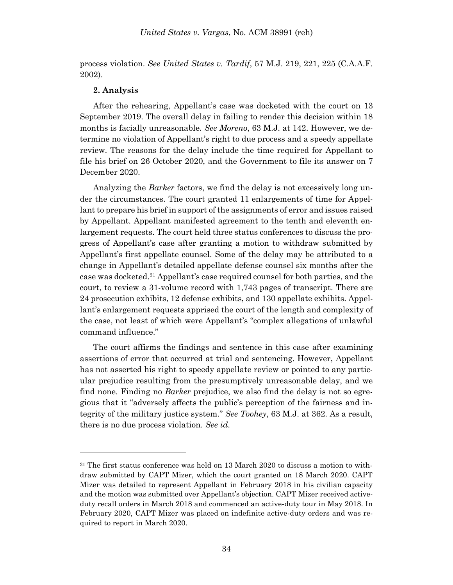process violation. *See United States v. Tardif*, 57 M.J. 219, 221, 225 (C.A.A.F. 2002).

#### **2. Analysis**

l

After the rehearing, Appellant's case was docketed with the court on 13 September 2019. The overall delay in failing to render this decision within 18 months is facially unreasonable. *See Moreno*, 63 M.J. at 142. However, we determine no violation of Appellant's right to due process and a speedy appellate review. The reasons for the delay include the time required for Appellant to file his brief on 26 October 2020, and the Government to file its answer on 7 December 2020.

Analyzing the *Barker* factors, we find the delay is not excessively long under the circumstances. The court granted 11 enlargements of time for Appellant to prepare his brief in support of the assignments of error and issues raised by Appellant. Appellant manifested agreement to the tenth and eleventh enlargement requests. The court held three status conferences to discuss the progress of Appellant's case after granting a motion to withdraw submitted by Appellant's first appellate counsel. Some of the delay may be attributed to a change in Appellant's detailed appellate defense counsel six months after the case was docketed. <sup>31</sup> Appellant's case required counsel for both parties, and the court, to review a 31-volume record with 1,743 pages of transcript. There are 24 prosecution exhibits, 12 defense exhibits, and 130 appellate exhibits. Appellant's enlargement requests apprised the court of the length and complexity of the case, not least of which were Appellant's "complex allegations of unlawful command influence."

The court affirms the findings and sentence in this case after examining assertions of error that occurred at trial and sentencing. However, Appellant has not asserted his right to speedy appellate review or pointed to any particular prejudice resulting from the presumptively unreasonable delay, and we find none. Finding no *Barker* prejudice, we also find the delay is not so egregious that it "adversely affects the public's perception of the fairness and integrity of the military justice system." *See Toohey*, 63 M.J. at 362. As a result, there is no due process violation. *See id*.

<sup>&</sup>lt;sup>31</sup> The first status conference was held on 13 March 2020 to discuss a motion to withdraw submitted by CAPT Mizer, which the court granted on 18 March 2020. CAPT Mizer was detailed to represent Appellant in February 2018 in his civilian capacity and the motion was submitted over Appellant's objection. CAPT Mizer received activeduty recall orders in March 2018 and commenced an active-duty tour in May 2018. In February 2020, CAPT Mizer was placed on indefinite active-duty orders and was required to report in March 2020.